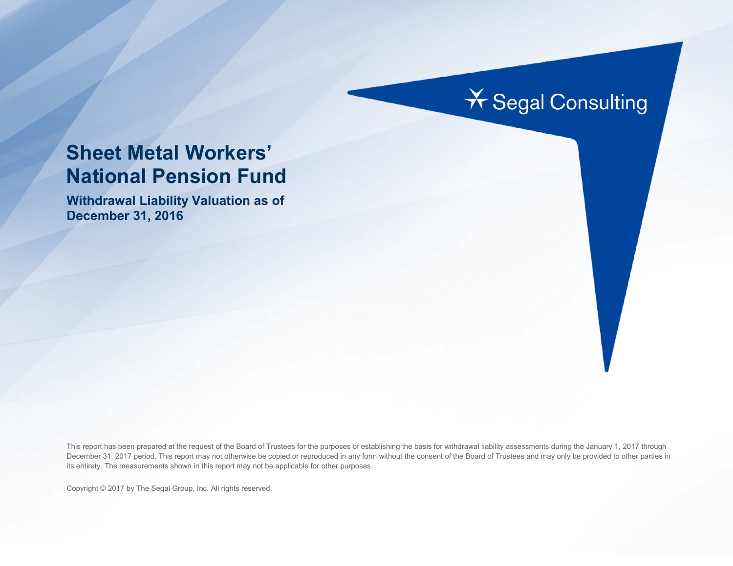# **X** Segal Consulting

# **Sheet Metal Workers' National Pension Fund**

**Withdrawal Liability Valuation as of December 31, 2016**

This report has been prepared at the request of the Board of Trustees for the purposes of establishing the basis for withdrawal liability assessments during the January 1, 2017 through December 31, 2017 period. This report may not otherwise be copied or reproduced in any form without the consent of the Board of Trustees and may only be provided to other parties in its entirety. The measurements shown in this report may not be applicable for other purposes.

Copyright © 2017 by The Segal Group, Inc. All rights reserved.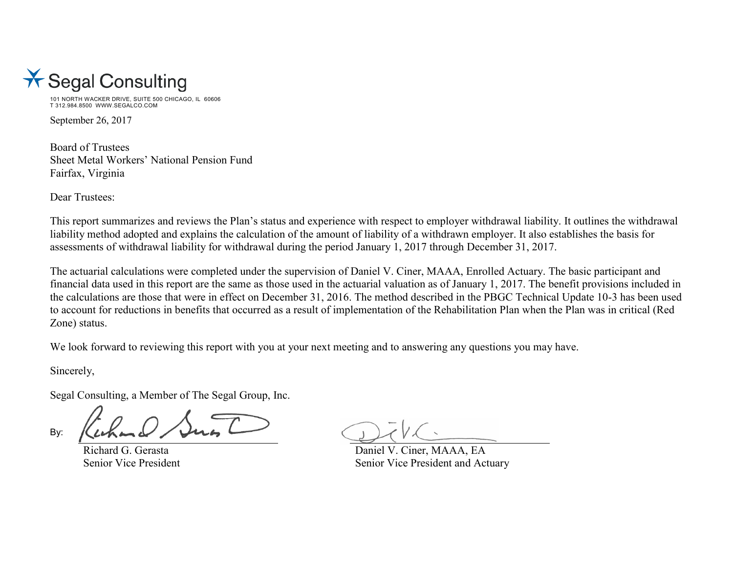

101 NORTH WACKER DRIVE, SUITE 500 CHICAGO, IL 60606 T 312.984.8500 WWW.SEGALCO.COM

September 26, 2017

Board of Trustees Sheet Metal Workers' National Pension Fund Fairfax, Virginia

Dear Trustees:

This report summarizes and reviews the Plan's status and experience with respect to employer withdrawal liability. It outlines the withdrawal liability method adopted and explains the calculation of the amount of liability of a withdrawn employer. It also establishes the basis for assessments of withdrawal liability for withdrawal during the period January 1, 2017 through December 31, 2017.

The actuarial calculations were completed under the supervision of Daniel V. Ciner, MAAA, Enrolled Actuary. The basic participant and financial data used in this report are the same as those used in the actuarial valuation as of January 1, 2017. The benefit provisions included in the calculations are those that were in effect on December 31, 2016. The method described in the PBGC Technical Update 10-3 has been used to account for reductions in benefits that occurred as a result of implementation of the Rehabilitation Plan when the Plan was in critical (Red Zone) status.

We look forward to reviewing this report with you at your next meeting and to answering any questions you may have.

Sincerely,

Segal Consulting, a Member of The Segal Group, Inc.

By:

Richard G. Gerasta Daniel V. Ciner, MAAA, EA Senior Vice President Senior Vice President and Actuary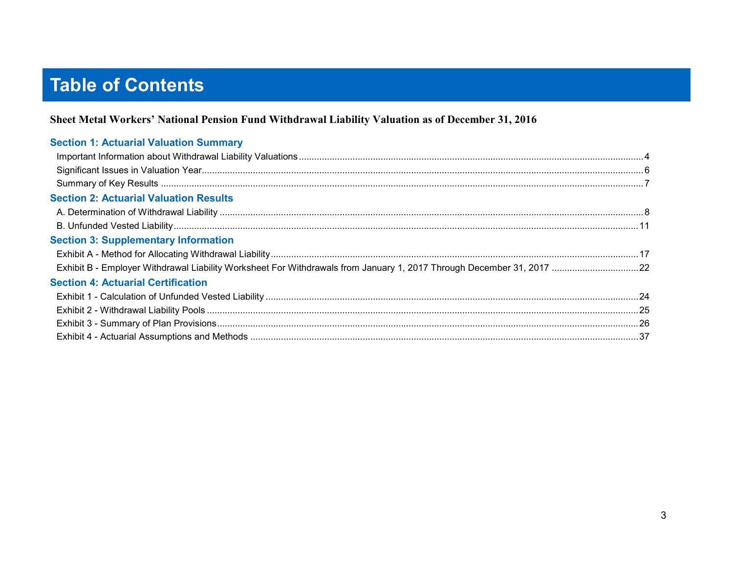# **Table of Contents**

# Sheet Metal Workers' National Pension Fund Withdrawal Liability Valuation as of December 31, 2016

| <b>Section 1: Actuarial Valuation Summary</b> |  |
|-----------------------------------------------|--|
|                                               |  |
|                                               |  |
|                                               |  |
| <b>Section 2: Actuarial Valuation Results</b> |  |
|                                               |  |
|                                               |  |
| <b>Section 3: Supplementary Information</b>   |  |
|                                               |  |
|                                               |  |
| <b>Section 4: Actuarial Certification</b>     |  |
|                                               |  |
|                                               |  |
|                                               |  |
|                                               |  |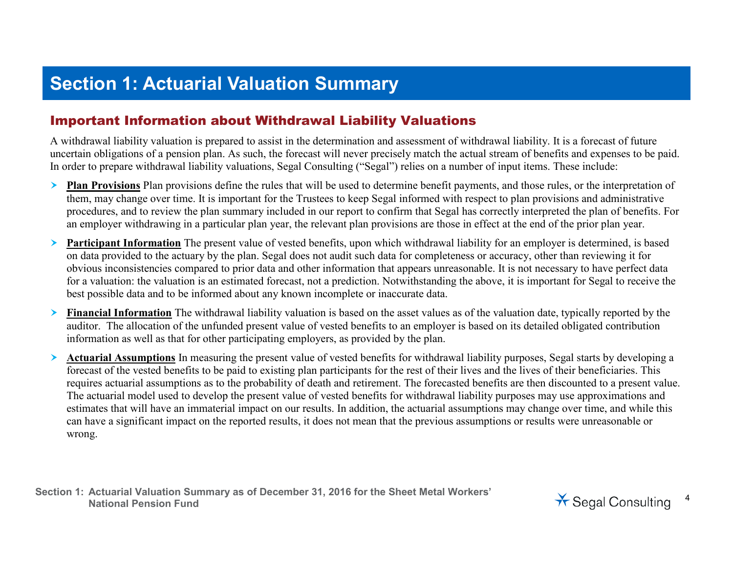# **Section 1: Actuarial Valuation Summary**

## Important Information about Withdrawal Liability Valuations

A withdrawal liability valuation is prepared to assist in the determination and assessment of withdrawal liability. It is a forecast of future uncertain obligations of a pension plan. As such, the forecast will never precisely match the actual stream of benefits and expenses to be paid. In order to prepare withdrawal liability valuations, Segal Consulting ("Segal") relies on a number of input items. These include:

- **Plan Provisions** Plan provisions define the rules that will be used to determine benefit payments, and those rules, or the interpretation of them, may change over time. It is important for the Trustees to keep Segal informed with respect to plan provisions and administrative procedures, and to review the plan summary included in our report to confirm that Segal has correctly interpreted the plan of benefits. For an employer withdrawing in a particular plan year, the relevant plan provisions are those in effect at the end of the prior plan year.
- **Participant Information** The present value of vested benefits, upon which withdrawal liability for an employer is determined, is based on data provided to the actuary by the plan. Segal does not audit such data for completeness or accuracy, other than reviewing it for obvious inconsistencies compared to prior data and other information that appears unreasonable. It is not necessary to have perfect data for a valuation: the valuation is an estimated forecast, not a prediction. Notwithstanding the above, it is important for Segal to receive the best possible data and to be informed about any known incomplete or inaccurate data.
- **Financial Information** The withdrawal liability valuation is based on the asset values as of the valuation date, typically reported by the auditor. The allocation of the unfunded present value of vested benefits to an employer is based on its detailed obligated contribution information as well as that for other participating employers, as provided by the plan.
- **Actuarial Assumptions** In measuring the present value of vested benefits for withdrawal liability purposes, Segal starts by developing a forecast of the vested benefits to be paid to existing plan participants for the rest of their lives and the lives of their beneficiaries. This requires actuarial assumptions as to the probability of death and retirement. The forecasted benefits are then discounted to a present value. The actuarial model used to develop the present value of vested benefits for withdrawal liability purposes may use approximations and estimates that will have an immaterial impact on our results. In addition, the actuarial assumptions may change over time, and while this can have a significant impact on the reported results, it does not mean that the previous assumptions or results were unreasonable or wrong.

**Section 1: Actuarial Valuation Summary as of December 31, 2016 for the Sheet Metal Workers'**  National Pension Fund<br>National Pension Fund<br>National Pension Fund

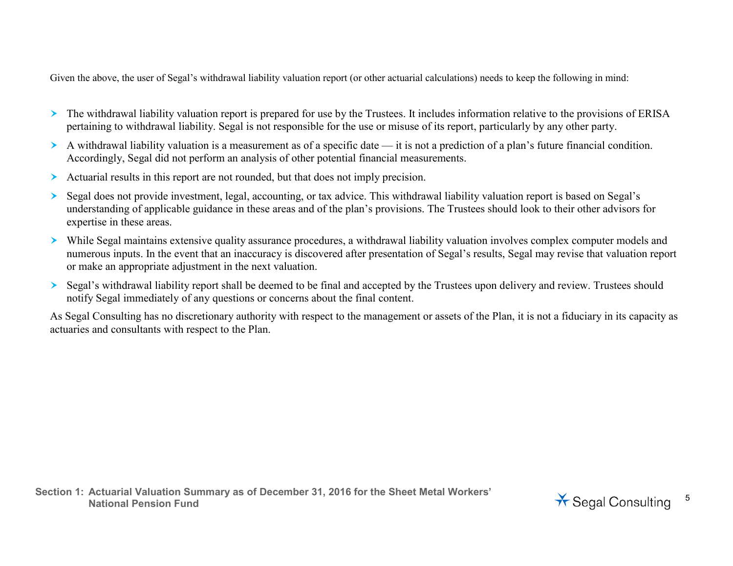Given the above, the user of Segal's withdrawal liability valuation report (or other actuarial calculations) needs to keep the following in mind:

- The withdrawal liability valuation report is prepared for use by the Trustees. It includes information relative to the provisions of ERISA pertaining to withdrawal liability. Segal is not responsible for the use or misuse of its report, particularly by any other party.
- A withdrawal liability valuation is a measurement as of a specific date it is not a prediction of a plan's future financial condition. Accordingly, Segal did not perform an analysis of other potential financial measurements.
- Actuarial results in this report are not rounded, but that does not imply precision.
- Segal does not provide investment, legal, accounting, or tax advice. This withdrawal liability valuation report is based on Segal's understanding of applicable guidance in these areas and of the plan's provisions. The Trustees should look to their other advisors for expertise in these areas.
- While Segal maintains extensive quality assurance procedures, a withdrawal liability valuation involves complex computer models and numerous inputs. In the event that an inaccuracy is discovered after presentation of Segal's results, Segal may revise that valuation report or make an appropriate adjustment in the next valuation.
- Segal's withdrawal liability report shall be deemed to be final and accepted by the Trustees upon delivery and review. Trustees should notify Segal immediately of any questions or concerns about the final content.

As Segal Consulting has no discretionary authority with respect to the management or assets of the Plan, it is not a fiduciary in its capacity as actuaries and consultants with respect to the Plan.

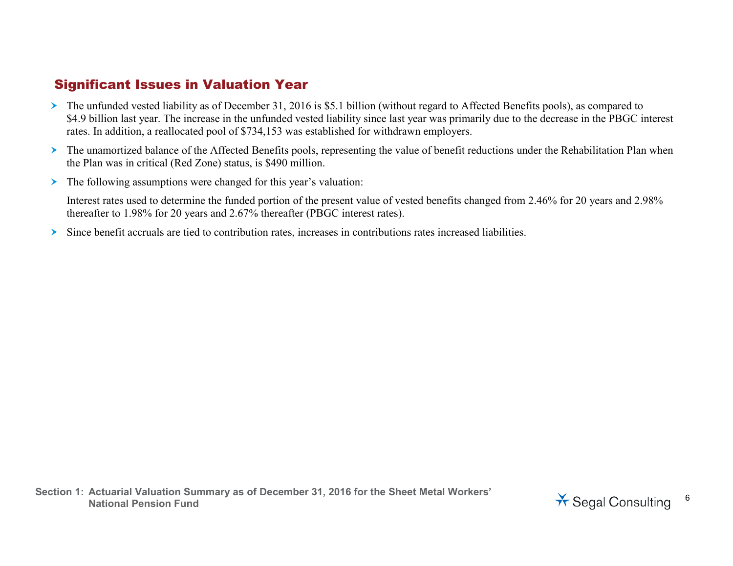# Significant Issues in Valuation Year

- The unfunded vested liability as of December 31, 2016 is \$5.1 billion (without regard to Affected Benefits pools), as compared to \$4.9 billion last year. The increase in the unfunded vested liability since last year was primarily due to the decrease in the PBGC interest rates. In addition, a reallocated pool of \$734,153 was established for withdrawn employers.
- > The unamortized balance of the Affected Benefits pools, representing the value of benefit reductions under the Rehabilitation Plan when the Plan was in critical (Red Zone) status, is \$490 million.
- $\triangleright$  The following assumptions were changed for this year's valuation:

Interest rates used to determine the funded portion of the present value of vested benefits changed from 2.46% for 20 years and 2.98% thereafter to 1.98% for 20 years and 2.67% thereafter (PBGC interest rates).

Since benefit accruals are tied to contribution rates, increases in contributions rates increased liabilities.

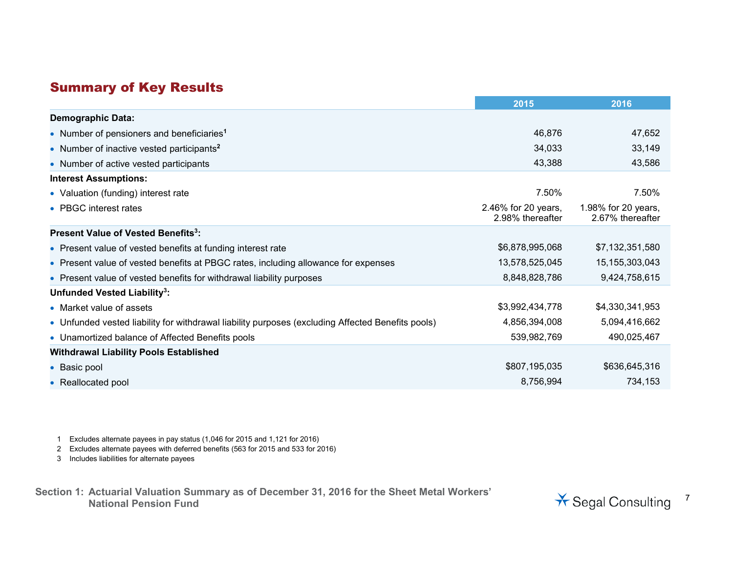# Summary of Key Results

|                                                                                                   | 2015                                    | 2016                                    |
|---------------------------------------------------------------------------------------------------|-----------------------------------------|-----------------------------------------|
| <b>Demographic Data:</b>                                                                          |                                         |                                         |
| • Number of pensioners and beneficiaries <sup>1</sup>                                             | 46,876                                  | 47,652                                  |
| • Number of inactive vested participants <sup>2</sup>                                             | 34,033                                  | 33,149                                  |
| • Number of active vested participants                                                            | 43,388                                  | 43,586                                  |
| <b>Interest Assumptions:</b>                                                                      |                                         |                                         |
| • Valuation (funding) interest rate                                                               | 7.50%                                   | 7.50%                                   |
| • PBGC interest rates                                                                             | 2.46% for 20 years,<br>2.98% thereafter | 1.98% for 20 years,<br>2.67% thereafter |
| Present Value of Vested Benefits <sup>3</sup> :                                                   |                                         |                                         |
| • Present value of vested benefits at funding interest rate                                       | \$6,878,995,068                         | \$7,132,351,580                         |
| • Present value of vested benefits at PBGC rates, including allowance for expenses                | 13,578,525,045                          | 15,155,303,043                          |
| • Present value of vested benefits for withdrawal liability purposes                              | 8,848,828,786                           | 9,424,758,615                           |
| Unfunded Vested Liability <sup>3</sup> :                                                          |                                         |                                         |
| • Market value of assets                                                                          | \$3,992,434,778                         | \$4,330,341,953                         |
| • Unfunded vested liability for withdrawal liability purposes (excluding Affected Benefits pools) | 4,856,394,008                           | 5,094,416,662                           |
| • Unamortized balance of Affected Benefits pools                                                  | 539,982,769                             | 490,025,467                             |
| <b>Withdrawal Liability Pools Established</b>                                                     |                                         |                                         |
| • Basic pool                                                                                      | \$807,195,035                           | \$636,645,316                           |
| • Reallocated pool                                                                                | 8,756,994                               | 734,153                                 |

1 Excludes alternate payees in pay status (1,046 for 2015 and 1,121 for 2016)

2 Excludes alternate payees with deferred benefits (563 for 2015 and 533 for 2016)

3 Includes liabilities for alternate payees

**Section 1: Actuarial Valuation Summary as of December 31, 2016 for the Sheet Metal Workers'** 

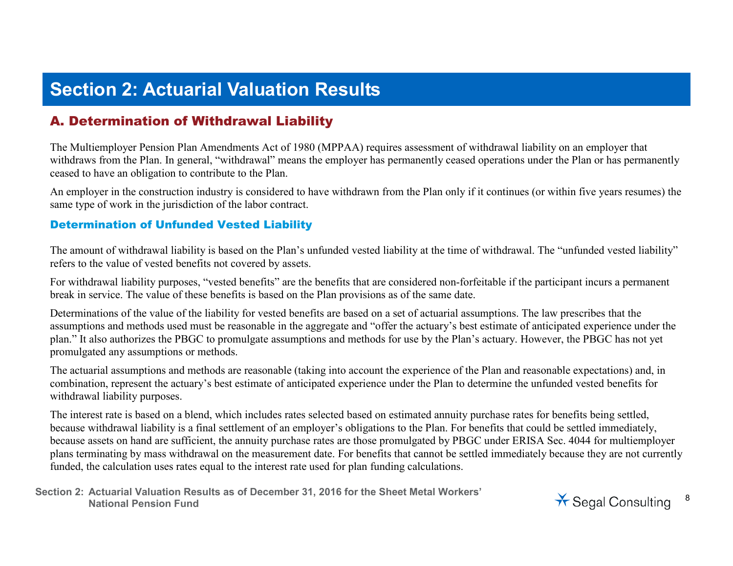# **Section 2: Actuarial Valuation Results**

# A. Determination of Withdrawal Liability

The Multiemployer Pension Plan Amendments Act of 1980 (MPPAA) requires assessment of withdrawal liability on an employer that withdraws from the Plan. In general, "withdrawal" means the employer has permanently ceased operations under the Plan or has permanently ceased to have an obligation to contribute to the Plan.

An employer in the construction industry is considered to have withdrawn from the Plan only if it continues (or within five years resumes) the same type of work in the jurisdiction of the labor contract.

## Determination of Unfunded Vested Liability

The amount of withdrawal liability is based on the Plan's unfunded vested liability at the time of withdrawal. The "unfunded vested liability" refers to the value of vested benefits not covered by assets.

For withdrawal liability purposes, "vested benefits" are the benefits that are considered non-forfeitable if the participant incurs a permanent break in service. The value of these benefits is based on the Plan provisions as of the same date.

Determinations of the value of the liability for vested benefits are based on a set of actuarial assumptions. The law prescribes that the assumptions and methods used must be reasonable in the aggregate and "offer the actuary's best estimate of anticipated experience under the plan." It also authorizes the PBGC to promulgate assumptions and methods for use by the Plan's actuary. However, the PBGC has not yet promulgated any assumptions or methods.

The actuarial assumptions and methods are reasonable (taking into account the experience of the Plan and reasonable expectations) and, in combination, represent the actuary's best estimate of anticipated experience under the Plan to determine the unfunded vested benefits for withdrawal liability purposes.

The interest rate is based on a blend, which includes rates selected based on estimated annuity purchase rates for benefits being settled, because withdrawal liability is a final settlement of an employer's obligations to the Plan. For benefits that could be settled immediately, because assets on hand are sufficient, the annuity purchase rates are those promulgated by PBGC under ERISA Sec. 4044 for multiemployer plans terminating by mass withdrawal on the measurement date. For benefits that cannot be settled immediately because they are not currently funded, the calculation uses rates equal to the interest rate used for plan funding calculations.

**Section 2: Actuarial Valuation Results as of December 31, 2016 for the Sheet Metal Workers'**  National Pension Fund<br>National Pension Fund<br><sup>8</sup>

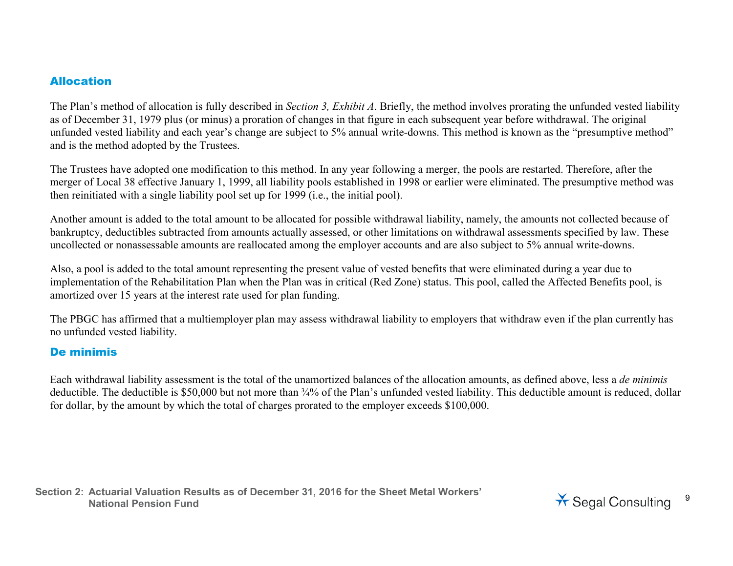## Allocation

The Plan's method of allocation is fully described in *Section 3, Exhibit A*. Briefly, the method involves prorating the unfunded vested liability as of December 31, 1979 plus (or minus) a proration of changes in that figure in each subsequent year before withdrawal. The original unfunded vested liability and each year's change are subject to 5% annual write-downs. This method is known as the "presumptive method" and is the method adopted by the Trustees.

The Trustees have adopted one modification to this method. In any year following a merger, the pools are restarted. Therefore, after the merger of Local 38 effective January 1, 1999, all liability pools established in 1998 or earlier were eliminated. The presumptive method was then reinitiated with a single liability pool set up for 1999 (i.e., the initial pool).

Another amount is added to the total amount to be allocated for possible withdrawal liability, namely, the amounts not collected because of bankruptcy, deductibles subtracted from amounts actually assessed, or other limitations on withdrawal assessments specified by law. These uncollected or nonassessable amounts are reallocated among the employer accounts and are also subject to 5% annual write-downs.

Also, a pool is added to the total amount representing the present value of vested benefits that were eliminated during a year due to implementation of the Rehabilitation Plan when the Plan was in critical (Red Zone) status. This pool, called the Affected Benefits pool, is amortized over 15 years at the interest rate used for plan funding.

The PBGC has affirmed that a multiemployer plan may assess withdrawal liability to employers that withdraw even if the plan currently has no unfunded vested liability.

## De minimis

Each withdrawal liability assessment is the total of the unamortized balances of the allocation amounts, as defined above, less a *de minimis* deductible. The deductible is \$50,000 but not more than  $\frac{3}{4}$ % of the Plan's unfunded vested liability. This deductible amount is reduced, dollar for dollar, by the amount by which the total of charges prorated to the employer exceeds \$100,000.

**Section 2: Actuarial Valuation Results as of December 31, 2016 for the Sheet Metal Workers'**  National Pension Fund<br>National Pension Fund<br>
<sup>9</sup>

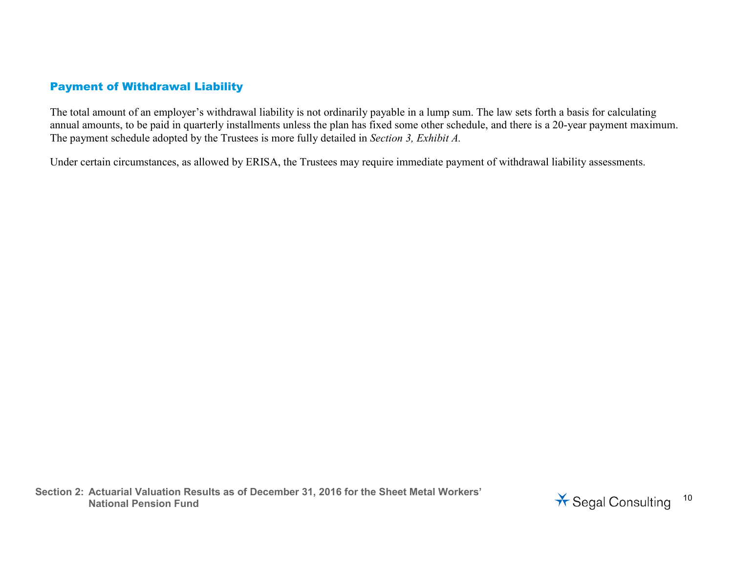## Payment of Withdrawal Liability

The total amount of an employer's withdrawal liability is not ordinarily payable in a lump sum. The law sets forth a basis for calculating annual amounts, to be paid in quarterly installments unless the plan has fixed some other schedule, and there is a 20-year payment maximum. The payment schedule adopted by the Trustees is more fully detailed in *Section 3, Exhibit A.*

Under certain circumstances, as allowed by ERISA, the Trustees may require immediate payment of withdrawal liability assessments.

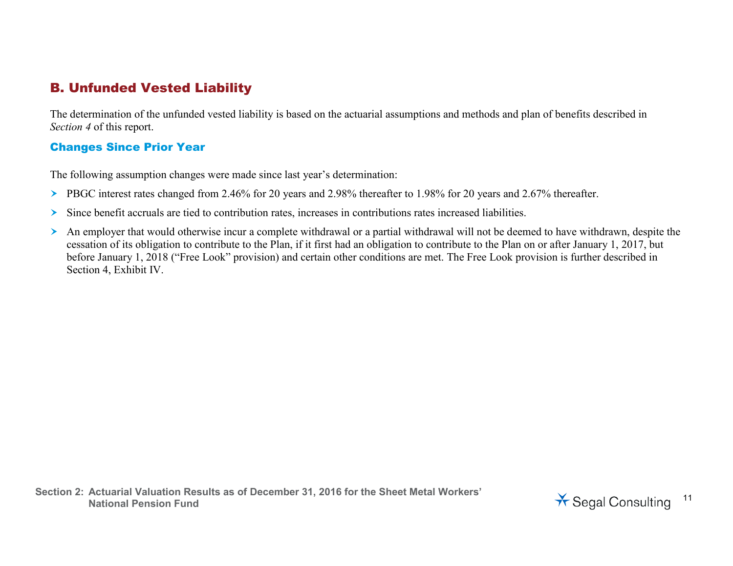# B. Unfunded Vested Liability

The determination of the unfunded vested liability is based on the actuarial assumptions and methods and plan of benefits described in *Section 4* of this report.

## Changes Since Prior Year

The following assumption changes were made since last year's determination:

- PBGC interest rates changed from 2.46% for 20 years and 2.98% thereafter to 1.98% for 20 years and 2.67% thereafter.
- $\geq$  Since benefit accruals are tied to contribution rates, increases in contributions rates increased liabilities.
- An employer that would otherwise incur a complete withdrawal or a partial withdrawal will not be deemed to have withdrawn, despite the cessation of its obligation to contribute to the Plan, if it first had an obligation to contribute to the Plan on or after January 1, 2017, but before January 1, 2018 ("Free Look" provision) and certain other conditions are met. The Free Look provision is further described in Section 4, Exhibit IV.

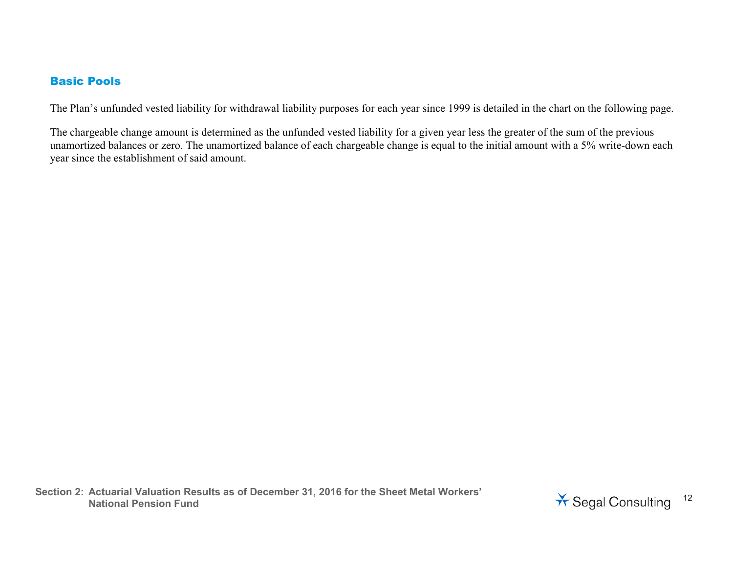## Basic Pools

The Plan's unfunded vested liability for withdrawal liability purposes for each year since 1999 is detailed in the chart on the following page.

The chargeable change amount is determined as the unfunded vested liability for a given year less the greater of the sum of the previous unamortized balances or zero. The unamortized balance of each chargeable change is equal to the initial amount with a 5% write-down each year since the establishment of said amount.

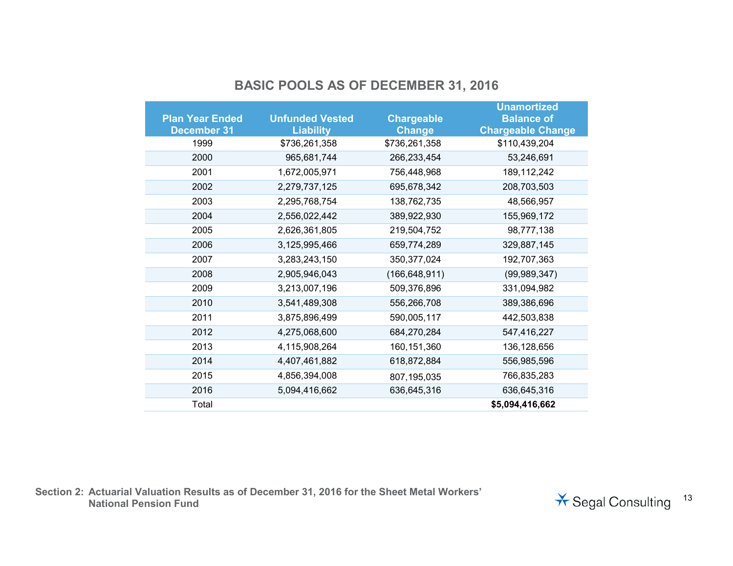# **BASIC POOLS AS OF DECEMBER 31, 2016**

|                        |                        |                   | <b>Unamortized</b>       |
|------------------------|------------------------|-------------------|--------------------------|
| <b>Plan Year Ended</b> | <b>Unfunded Vested</b> | <b>Chargeable</b> | <b>Balance of</b>        |
| <b>December 31</b>     | <b>Liability</b>       | <b>Change</b>     | <b>Chargeable Change</b> |
| 1999                   | \$736,261,358          | \$736,261,358     | \$110,439,204            |
| 2000                   | 965,681,744            | 266,233,454       | 53,246,691               |
| 2001                   | 1,672,005,971          | 756,448,968       | 189, 112, 242            |
| 2002                   | 2,279,737,125          | 695,678,342       | 208,703,503              |
| 2003                   | 2,295,768,754          | 138,762,735       | 48,566,957               |
| 2004                   | 2,556,022,442          | 389,922,930       | 155,969,172              |
| 2005                   | 2,626,361,805          | 219,504,752       | 98,777,138               |
| 2006                   | 3,125,995,466          | 659,774,289       | 329,887,145              |
| 2007                   | 3,283,243,150          | 350, 377, 024     | 192,707,363              |
| 2008                   | 2,905,946,043          | (166, 648, 911)   | (99, 989, 347)           |
| 2009                   | 3,213,007,196          | 509,376,896       | 331,094,982              |
| 2010                   | 3,541,489,308          | 556,266,708       | 389,386,696              |
| 2011                   | 3,875,896,499          | 590,005,117       | 442,503,838              |
| 2012                   | 4,275,068,600          | 684,270,284       | 547,416,227              |
| 2013                   | 4,115,908,264          | 160, 151, 360     | 136, 128, 656            |
| 2014                   | 4,407,461,882          | 618,872,884       | 556,985,596              |
| 2015                   | 4,856,394,008          | 807, 195, 035     | 766,835,283              |
| 2016                   | 5,094,416,662          | 636,645,316       | 636,645,316              |
| Total                  |                        |                   | \$5,094,416,662          |

**Section 2: Actuarial Valuation Results as of December 31, 2016 for the Sheet Metal Workers'** 

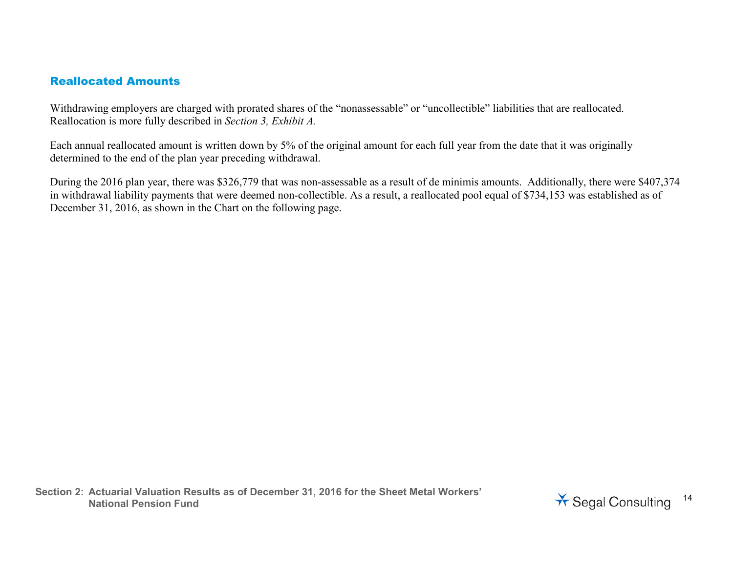## Reallocated Amounts

Withdrawing employers are charged with prorated shares of the "nonassessable" or "uncollectible" liabilities that are reallocated. Reallocation is more fully described in *Section 3, Exhibit A.*

Each annual reallocated amount is written down by 5% of the original amount for each full year from the date that it was originally determined to the end of the plan year preceding withdrawal.

During the 2016 plan year, there was \$326,779 that was non-assessable as a result of de minimis amounts. Additionally, there were \$407,374 in withdrawal liability payments that were deemed non-collectible. As a result, a reallocated pool equal of \$734,153 was established as of December 31, 2016, as shown in the Chart on the following page.

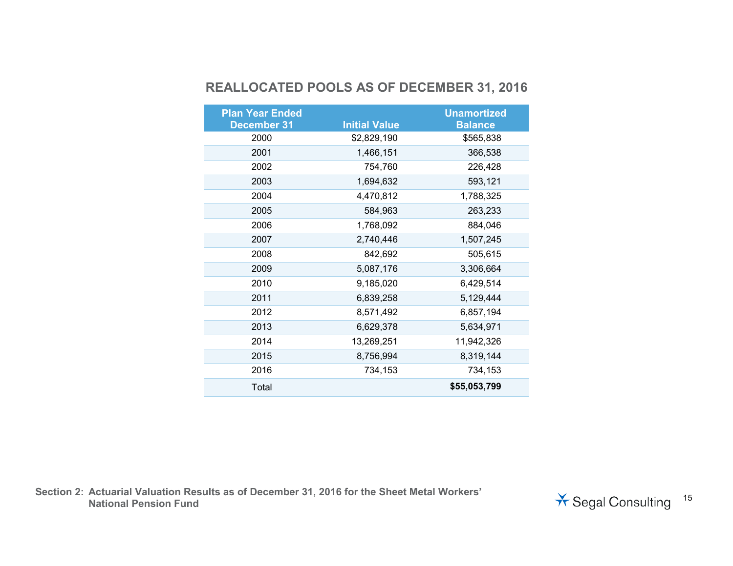# **REALLOCATED POOLS AS OF DECEMBER 31, 2016**

| <b>Plan Year Ended</b> |                      | <b>Unamortized</b> |
|------------------------|----------------------|--------------------|
| <b>December 31</b>     | <b>Initial Value</b> | <b>Balance</b>     |
| 2000                   | \$2,829,190          | \$565,838          |
| 2001                   | 1,466,151            | 366,538            |
| 2002                   | 754,760              | 226,428            |
| 2003                   | 1,694,632            | 593,121            |
| 2004                   | 4,470,812            | 1,788,325          |
| 2005                   | 584,963              | 263,233            |
| 2006                   | 1,768,092            | 884,046            |
| 2007                   | 2,740,446            | 1,507,245          |
| 2008                   | 842,692              | 505,615            |
| 2009                   | 5,087,176            | 3,306,664          |
| 2010                   | 9,185,020            | 6,429,514          |
| 2011                   | 6,839,258            | 5,129,444          |
| 2012                   | 8,571,492            | 6,857,194          |
| 2013                   | 6,629,378            | 5,634,971          |
| 2014                   | 13,269,251           | 11,942,326         |
| 2015                   | 8,756,994            | 8,319,144          |
| 2016                   | 734,153              | 734,153            |
| Total                  |                      | \$55,053,799       |

**Section 2: Actuarial Valuation Results as of December 31, 2016 for the Sheet Metal Workers'** 

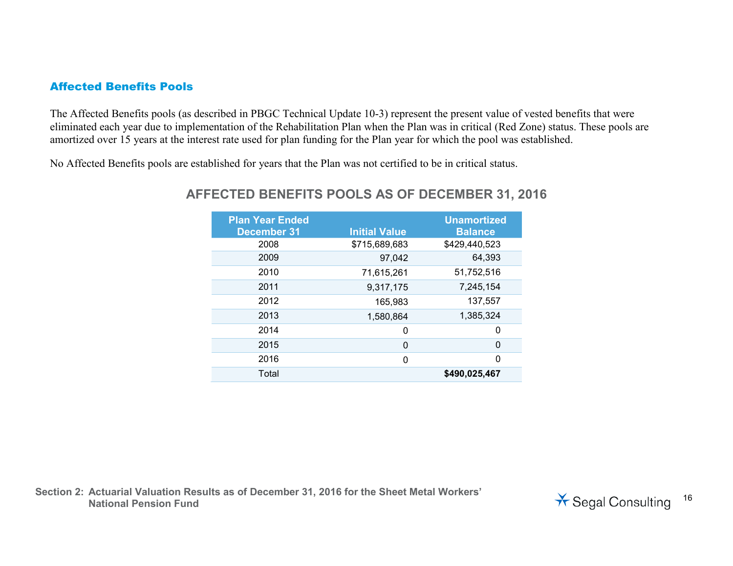## Affected Benefits Pools

The Affected Benefits pools (as described in PBGC Technical Update 10-3) represent the present value of vested benefits that were eliminated each year due to implementation of the Rehabilitation Plan when the Plan was in critical (Red Zone) status. These pools are amortized over 15 years at the interest rate used for plan funding for the Plan year for which the pool was established.

No Affected Benefits pools are established for years that the Plan was not certified to be in critical status.

| <b>Plan Year Ended</b><br><b>December 31</b> | <b>Initial Value</b> | <b>Unamortized</b><br><b>Balance</b> |
|----------------------------------------------|----------------------|--------------------------------------|
| 2008                                         | \$715,689,683        | \$429,440,523                        |
| 2009                                         | 97,042               | 64,393                               |
| 2010                                         | 71,615,261           | 51,752,516                           |
| 2011                                         | 9,317,175            | 7,245,154                            |
| 2012                                         | 165,983              | 137,557                              |
| 2013                                         | 1,580,864            | 1,385,324                            |
| 2014                                         | 0                    | 0                                    |
| 2015                                         | 0                    | $\Omega$                             |
| 2016                                         | 0                    | $\Omega$                             |
| Total                                        |                      | \$490,025,467                        |

## **AFFECTED BENEFITS POOLS AS OF DECEMBER 31, 2016**

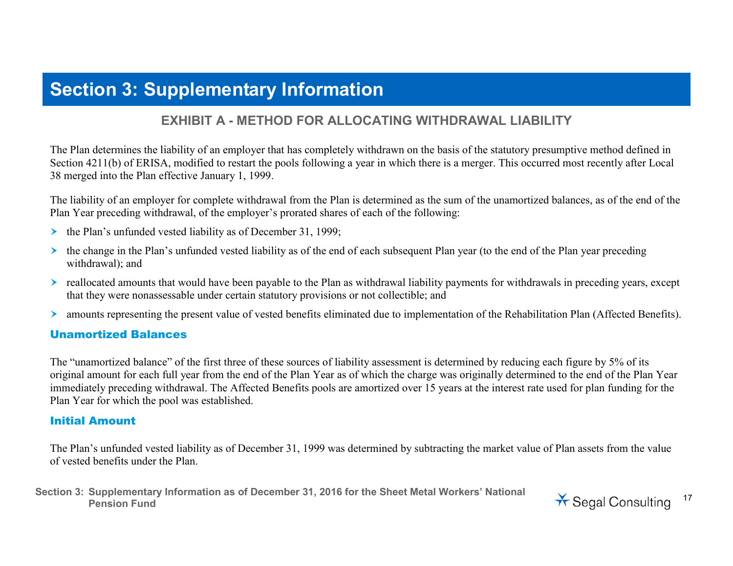# **Section 3: Supplementary Information**

## **EXHIBIT A - METHOD FOR ALLOCATING WITHDRAWAL LIABILITY**

The Plan determines the liability of an employer that has completely withdrawn on the basis of the statutory presumptive method defined in Section 4211(b) of ERISA, modified to restart the pools following a year in which there is a merger. This occurred most recently after Local 38 merged into the Plan effective January 1, 1999.

The liability of an employer for complete withdrawal from the Plan is determined as the sum of the unamortized balances, as of the end of the Plan Year preceding withdrawal, of the employer's prorated shares of each of the following:

- $\triangleright$  the Plan's unfunded vested liability as of December 31, 1999;
- $\triangleright$  the change in the Plan's unfunded vested liability as of the end of each subsequent Plan year (to the end of the Plan year preceding withdrawal); and
- $\triangleright$  reallocated amounts that would have been payable to the Plan as withdrawal liability payments for withdrawals in preceding years, except that they were nonassessable under certain statutory provisions or not collectible; and
- amounts representing the present value of vested benefits eliminated due to implementation of the Rehabilitation Plan (Affected Benefits).

#### Unamortized Balances

The "unamortized balance" of the first three of these sources of liability assessment is determined by reducing each figure by 5% of its original amount for each full year from the end of the Plan Year as of which the charge was originally determined to the end of the Plan Year immediately preceding withdrawal. The Affected Benefits pools are amortized over 15 years at the interest rate used for plan funding for the Plan Year for which the pool was established.

#### Initial Amount

The Plan's unfunded vested liability as of December 31, 1999 was determined by subtracting the market value of Plan assets from the value of vested benefits under the Plan.

**Section 3: Supplementary Information as of December 31, 2016 for the Sheet Metal Workers' National**  Pension Fund<br>Pension Fund<br>
<sup>17</sup> Segal Consulting

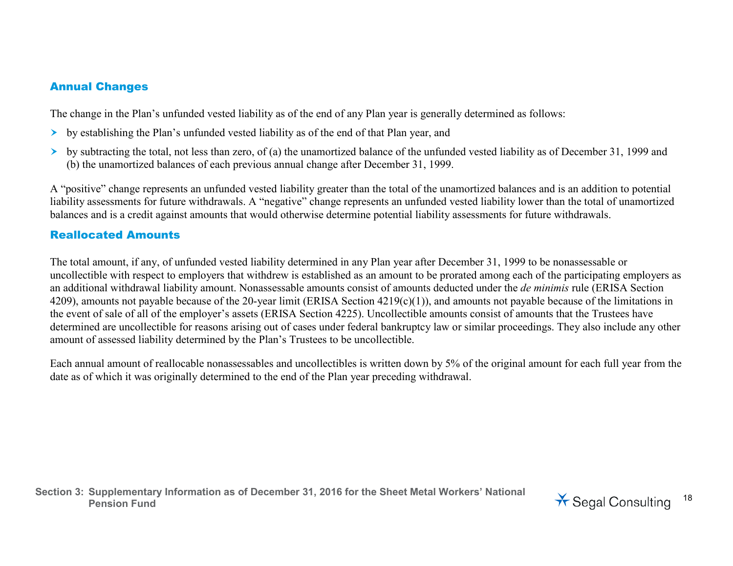## Annual Changes

The change in the Plan's unfunded vested liability as of the end of any Plan year is generally determined as follows:

- $\rightarrow$  by establishing the Plan's unfunded vested liability as of the end of that Plan year, and
- by subtracting the total, not less than zero, of (a) the unamortized balance of the unfunded vested liability as of December 31, 1999 and (b) the unamortized balances of each previous annual change after December 31, 1999.

A "positive" change represents an unfunded vested liability greater than the total of the unamortized balances and is an addition to potential liability assessments for future withdrawals. A "negative" change represents an unfunded vested liability lower than the total of unamortized balances and is a credit against amounts that would otherwise determine potential liability assessments for future withdrawals.

## Reallocated Amounts

The total amount, if any, of unfunded vested liability determined in any Plan year after December 31, 1999 to be nonassessable or uncollectible with respect to employers that withdrew is established as an amount to be prorated among each of the participating employers as an additional withdrawal liability amount. Nonassessable amounts consist of amounts deducted under the *de minimis* rule (ERISA Section 4209), amounts not payable because of the 20-year limit (ERISA Section 4219(c)(1)), and amounts not payable because of the limitations in the event of sale of all of the employer's assets (ERISA Section 4225). Uncollectible amounts consist of amounts that the Trustees have determined are uncollectible for reasons arising out of cases under federal bankruptcy law or similar proceedings. They also include any other amount of assessed liability determined by the Plan's Trustees to be uncollectible.

Each annual amount of reallocable nonassessables and uncollectibles is written down by 5% of the original amount for each full year from the date as of which it was originally determined to the end of the Plan year preceding withdrawal.

**Section 3: Supplementary Information as of December 31, 2016 for the Sheet Metal Workers' National** 

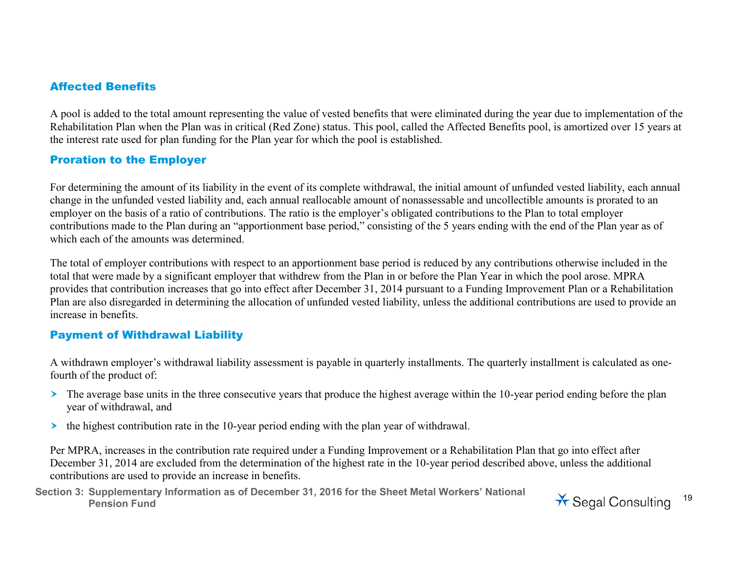## Affected Benefits

A pool is added to the total amount representing the value of vested benefits that were eliminated during the year due to implementation of the Rehabilitation Plan when the Plan was in critical (Red Zone) status. This pool, called the Affected Benefits pool, is amortized over 15 years at the interest rate used for plan funding for the Plan year for which the pool is established.

## Proration to the Employer

For determining the amount of its liability in the event of its complete withdrawal, the initial amount of unfunded vested liability, each annual change in the unfunded vested liability and, each annual reallocable amount of nonassessable and uncollectible amounts is prorated to an employer on the basis of a ratio of contributions. The ratio is the employer's obligated contributions to the Plan to total employer contributions made to the Plan during an "apportionment base period," consisting of the 5 years ending with the end of the Plan year as of which each of the amounts was determined.

The total of employer contributions with respect to an apportionment base period is reduced by any contributions otherwise included in the total that were made by a significant employer that withdrew from the Plan in or before the Plan Year in which the pool arose. MPRA provides that contribution increases that go into effect after December 31, 2014 pursuant to a Funding Improvement Plan or a Rehabilitation Plan are also disregarded in determining the allocation of unfunded vested liability, unless the additional contributions are used to provide an increase in benefits.

## Payment of Withdrawal Liability

A withdrawn employer's withdrawal liability assessment is payable in quarterly installments. The quarterly installment is calculated as onefourth of the product of:

- $\triangleright$  The average base units in the three consecutive years that produce the highest average within the 10-year period ending before the plan year of withdrawal, and
- $\triangleright$  the highest contribution rate in the 10-year period ending with the plan year of withdrawal.

Per MPRA, increases in the contribution rate required under a Funding Improvement or a Rehabilitation Plan that go into effect after December 31, 2014 are excluded from the determination of the highest rate in the 10-year period described above, unless the additional contributions are used to provide an increase in benefits.

**Section 3: Supplementary Information as of December 31, 2016 for the Sheet Metal Workers' National**  Pension Fund<br>Pension Fund<br>**Pension Fund** 

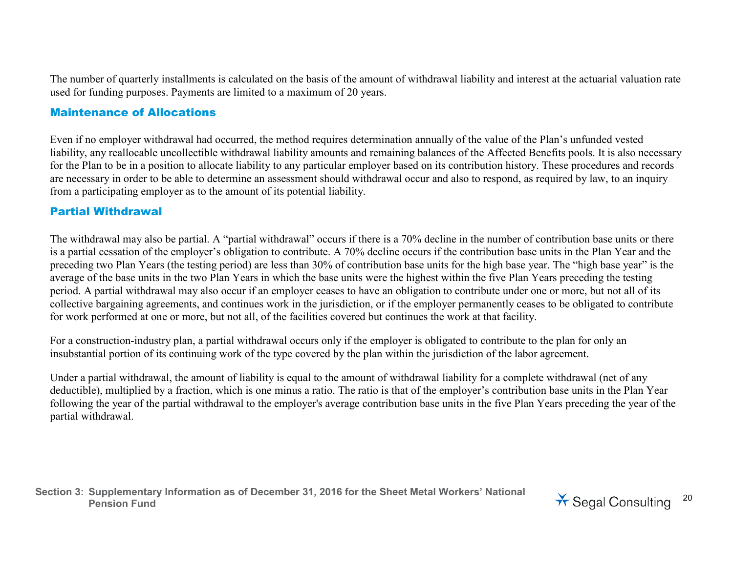The number of quarterly installments is calculated on the basis of the amount of withdrawal liability and interest at the actuarial valuation rate used for funding purposes. Payments are limited to a maximum of 20 years.

#### Maintenance of Allocations

Even if no employer withdrawal had occurred, the method requires determination annually of the value of the Plan's unfunded vested liability, any reallocable uncollectible withdrawal liability amounts and remaining balances of the Affected Benefits pools. It is also necessary for the Plan to be in a position to allocate liability to any particular employer based on its contribution history. These procedures and records are necessary in order to be able to determine an assessment should withdrawal occur and also to respond, as required by law, to an inquiry from a participating employer as to the amount of its potential liability.

#### Partial Withdrawal

The withdrawal may also be partial. A "partial withdrawal" occurs if there is a 70% decline in the number of contribution base units or there is a partial cessation of the employer's obligation to contribute. A 70% decline occurs if the contribution base units in the Plan Year and the preceding two Plan Years (the testing period) are less than 30% of contribution base units for the high base year. The "high base year" is the average of the base units in the two Plan Years in which the base units were the highest within the five Plan Years preceding the testing period. A partial withdrawal may also occur if an employer ceases to have an obligation to contribute under one or more, but not all of its collective bargaining agreements, and continues work in the jurisdiction, or if the employer permanently ceases to be obligated to contribute for work performed at one or more, but not all, of the facilities covered but continues the work at that facility.

For a construction-industry plan, a partial withdrawal occurs only if the employer is obligated to contribute to the plan for only an insubstantial portion of its continuing work of the type covered by the plan within the jurisdiction of the labor agreement.

Under a partial withdrawal, the amount of liability is equal to the amount of withdrawal liability for a complete withdrawal (net of any deductible), multiplied by a fraction, which is one minus a ratio. The ratio is that of the employer's contribution base units in the Plan Year following the year of the partial withdrawal to the employer's average contribution base units in the five Plan Years preceding the year of the partial withdrawal.

**Section 3: Supplementary Information as of December 31, 2016 for the Sheet Metal Workers' National**  Pension Fund<br>Pension Fund<br>**Pension Fund** 

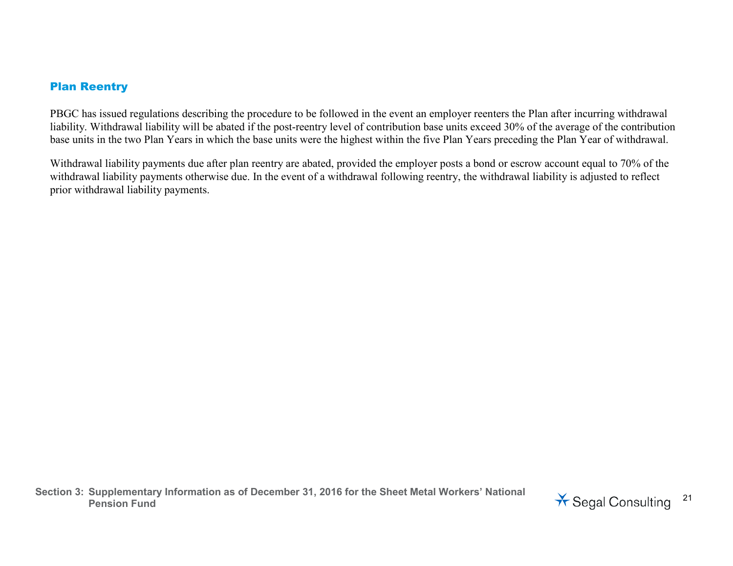#### Plan Reentry

PBGC has issued regulations describing the procedure to be followed in the event an employer reenters the Plan after incurring withdrawal liability. Withdrawal liability will be abated if the post-reentry level of contribution base units exceed 30% of the average of the contribution base units in the two Plan Years in which the base units were the highest within the five Plan Years preceding the Plan Year of withdrawal.

Withdrawal liability payments due after plan reentry are abated, provided the employer posts a bond or escrow account equal to 70% of the withdrawal liability payments otherwise due. In the event of a withdrawal following reentry, the withdrawal liability is adjusted to reflect prior withdrawal liability payments.

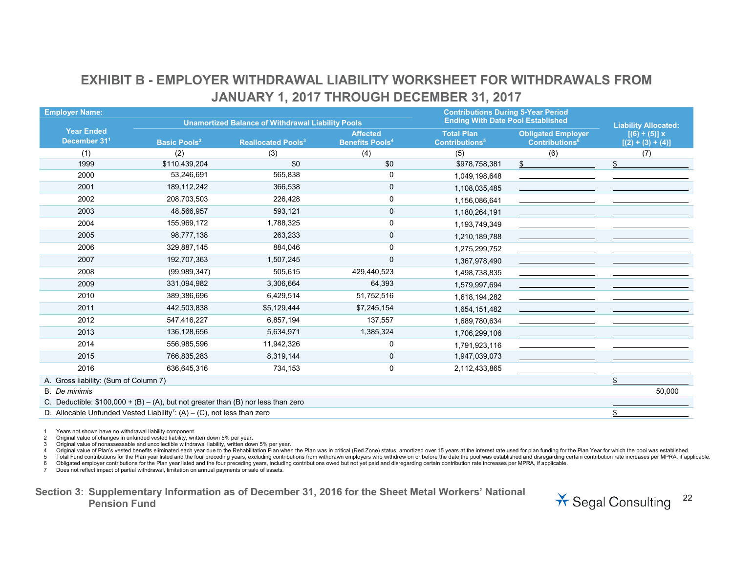# **EXHIBIT B - EMPLOYER WITHDRAWAL LIABILITY WORKSHEET FOR WITHDRAWALS FROM JANUARY 1, 2017 THROUGH DECEMBER 31, 2017**

| <b>Employer Name:</b>                 |                                                                                     |                                                          |                                   | <b>Contributions During 5-Year Period</b> |                                  |                             |
|---------------------------------------|-------------------------------------------------------------------------------------|----------------------------------------------------------|-----------------------------------|-------------------------------------------|----------------------------------|-----------------------------|
|                                       |                                                                                     | <b>Unamortized Balance of Withdrawal Liability Pools</b> |                                   | <b>Ending With Date Pool Established</b>  |                                  | <b>Liability Allocated:</b> |
| <b>Year Ended</b>                     |                                                                                     |                                                          | <b>Affected</b>                   | <b>Total Plan</b>                         | <b>Obligated Employer</b>        | $[(6) \div (5)] x$          |
| December 31 <sup>1</sup>              | <b>Basic Pools<sup>2</sup></b>                                                      | <b>Reallocated Pools<sup>3</sup></b>                     | <b>Benefits Pools<sup>4</sup></b> | Contributions <sup>5</sup>                | <b>Contributions<sup>6</sup></b> | $[(2) + (3) + (4)]$         |
| (1)                                   | (2)                                                                                 | (3)                                                      | (4)                               | (5)                                       | (6)                              | (7)                         |
| 1999                                  | \$110,439,204                                                                       | $\overline{30}$                                          | \$0                               | \$978,758,381                             | \$                               |                             |
| 2000                                  | 53,246,691                                                                          | 565,838                                                  | 0                                 | 1,049,198,648                             |                                  |                             |
| 2001                                  | 189,112,242                                                                         | 366,538                                                  | 0                                 | 1,108,035,485                             |                                  |                             |
| 2002                                  | 208,703,503                                                                         | 226,428                                                  | 0                                 | 1,156,086,641                             |                                  |                             |
| 2003                                  | 48,566,957                                                                          | 593,121                                                  | 0                                 | 1,180,264,191                             |                                  |                             |
| 2004                                  | 155,969,172                                                                         | 1,788,325                                                | 0                                 | 1,193,749,349                             |                                  |                             |
| 2005                                  | 98,777,138                                                                          | 263,233                                                  | 0                                 | 1,210,189,788                             |                                  |                             |
| 2006                                  | 329,887,145                                                                         | 884,046                                                  | 0                                 | 1,275,299,752                             |                                  |                             |
| 2007                                  | 192,707,363                                                                         | 1,507,245                                                | 0                                 | 1,367,978,490                             |                                  |                             |
| 2008                                  | (99, 989, 347)                                                                      | 505,615                                                  | 429,440,523                       | 1,498,738,835                             |                                  |                             |
| 2009                                  | 331,094,982                                                                         | 3,306,664                                                | 64,393                            | 1,579,997,694                             |                                  |                             |
| 2010                                  | 389,386,696                                                                         | 6,429,514                                                | 51,752,516                        | 1,618,194,282                             |                                  |                             |
| 2011                                  | 442,503,838                                                                         | \$5,129,444                                              | \$7,245,154                       | 1,654,151,482                             |                                  |                             |
| 2012                                  | 547,416,227                                                                         | 6,857,194                                                | 137,557                           | 1,689,780,634                             |                                  |                             |
| 2013                                  | 136,128,656                                                                         | 5,634,971                                                | 1,385,324                         | 1,706,299,106                             |                                  |                             |
| 2014                                  | 556,985,596                                                                         | 11,942,326                                               | 0                                 | 1,791,923,116                             |                                  |                             |
| 2015                                  | 766,835,283                                                                         | 8,319,144                                                | $\mathbf 0$                       | 1,947,039,073                             |                                  |                             |
| 2016                                  | 636,645,316                                                                         | 734,153                                                  | 0                                 | 2,112,433,865                             |                                  |                             |
| A. Gross liability: (Sum of Column 7) |                                                                                     |                                                          |                                   |                                           |                                  |                             |
| <b>B.</b> De minimis                  |                                                                                     |                                                          |                                   |                                           |                                  | 50,000                      |
|                                       | C. Deductible: $$100,000 + (B) - (A)$ , but not greater than (B) nor less than zero |                                                          |                                   |                                           |                                  |                             |
|                                       | D. Allocable Unfunded Vested Liability <sup>7</sup> : (A) - (C), not less than zero |                                                          |                                   |                                           |                                  |                             |

1 Years not shown have no withdrawal liability component.

2 Original value of changes in unfunded vested liability, written down 5% per year.

3 Original value of nonassessable and uncollectible withdrawal liability, written down 5% per year.

Original value of Plan's vested benefits eliminated each year due to the Rehabilitation Plan when the Plan was in critical (Red Zone) status, amortized over 15 years at the interest rate used for plan funding for the Plan

5 Total Fund contributions for the Plan year listed and the four preceding years, excluding contributions from withdrawn employers who withdrew on or before the date the pool was established and disregarding certain contri

6 Obligated employer contributions for the Plan year listed and the four preceding years, including contributions owed but not yet paid and disregarding certain contribution rate increases per MPRA, if applicable.<br>7 Does n

Does not reflect impact of partial withdrawal, limitation on annual payments or sale of assets.

```
Section 3: Supplementary Information as of December 31, 2016 for the Sheet Metal Workers' National 
       Pension Fund<br>Pension Fund<br>Pension Fund
```
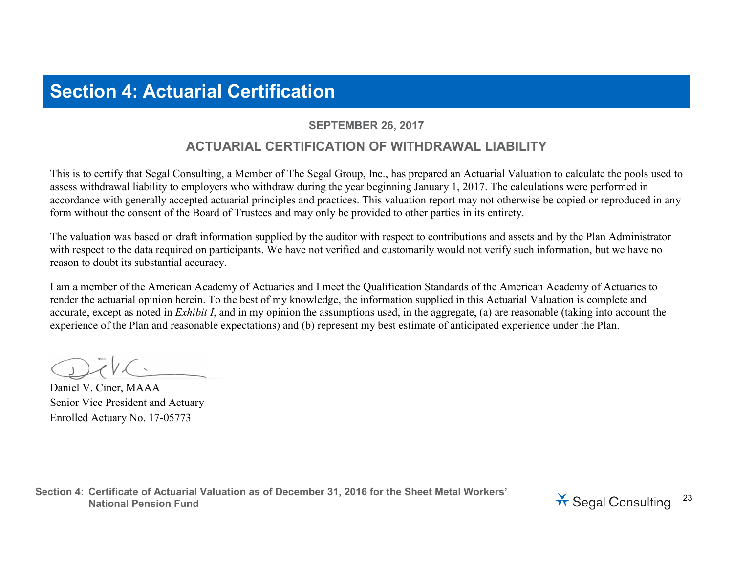# **Section 4: Actuarial Certification**

## **SEPTEMBER 26, 2017**

# **ACTUARIAL CERTIFICATION OF WITHDRAWAL LIABILITY**

This is to certify that Segal Consulting, a Member of The Segal Group, Inc., has prepared an Actuarial Valuation to calculate the pools used to assess withdrawal liability to employers who withdraw during the year beginning January 1, 2017. The calculations were performed in accordance with generally accepted actuarial principles and practices. This valuation report may not otherwise be copied or reproduced in any form without the consent of the Board of Trustees and may only be provided to other parties in its entirety.

The valuation was based on draft information supplied by the auditor with respect to contributions and assets and by the Plan Administrator with respect to the data required on participants. We have not verified and customarily would not verify such information, but we have no reason to doubt its substantial accuracy.

I am a member of the American Academy of Actuaries and I meet the Qualification Standards of the American Academy of Actuaries to render the actuarial opinion herein. To the best of my knowledge, the information supplied in this Actuarial Valuation is complete and accurate, except as noted in *Exhibit I*, and in my opinion the assumptions used, in the aggregate, (a) are reasonable (taking into account the experience of the Plan and reasonable expectations) and (b) represent my best estimate of anticipated experience under the Plan.

 $\bigcup$ 

Daniel V. Ciner, MAAA Senior Vice President and Actuary Enrolled Actuary No. 17-05773

**Section 4: Certificate of Actuarial Valuation as of December 31, 2016 for the Sheet Metal Workers'**  National Pension Fund<br>National Pension Fund<br>National Pension Fund

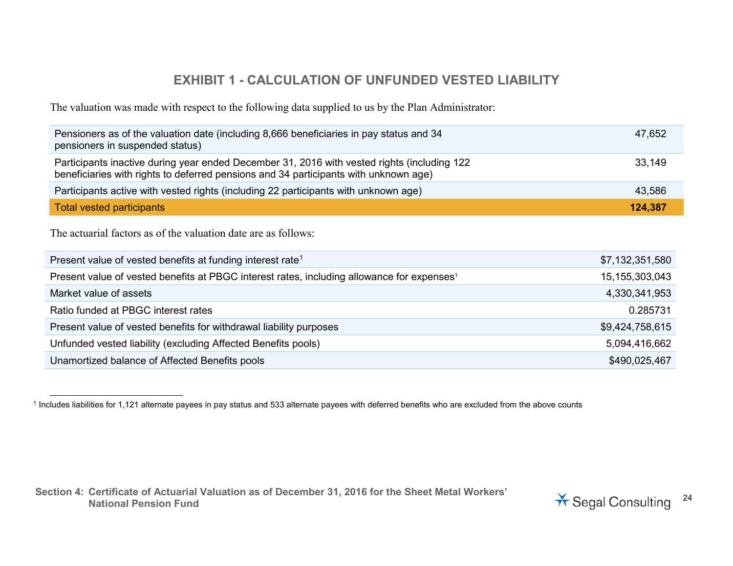# <span id="page-23-0"></span>**EXHIBIT 1 - CALCULATION OF UNFUNDED VESTED LIABILITY**

The valuation was made with respect to the following data supplied to us by the Plan Administrator:

| Pensioners as of the valuation date (including 8,666 beneficiaries in pay status and 34<br>pensioners in suspended status)                                                          | 47,652  |
|-------------------------------------------------------------------------------------------------------------------------------------------------------------------------------------|---------|
| Participants inactive during year ended December 31, 2016 with vested rights (including 122<br>beneficiaries with rights to deferred pensions and 34 participants with unknown age) | 33,149  |
| Participants active with vested rights (including 22 participants with unknown age)                                                                                                 | 43,586  |
| <b>Total vested participants</b>                                                                                                                                                    | 124.387 |

The actuarial factors as of the valuation date are as follows:

| Present value of vested benefits at funding interest rate <sup>1</sup>                                 | \$7,132,351,580   |
|--------------------------------------------------------------------------------------------------------|-------------------|
| Present value of vested benefits at PBGC interest rates, including allowance for expenses <sup>1</sup> | 15, 155, 303, 043 |
| Market value of assets                                                                                 | 4,330,341,953     |
| Ratio funded at PBGC interest rates                                                                    | 0.285731          |
| Present value of vested benefits for withdrawal liability purposes                                     | \$9,424,758,615   |
| Unfunded vested liability (excluding Affected Benefits pools)                                          | 5,094,416,662     |
| Unamortized balance of Affected Benefits pools                                                         | \$490,025,467     |

<sup>1</sup> Includes liabilities for 1,121 alternate payees in pay status and 533 alternate payees with deferred benefits who are excluded from the above counts

**Section 4: Certificate of Actuarial Valuation as of December 31, 2016 for the Sheet Metal Workers'** 

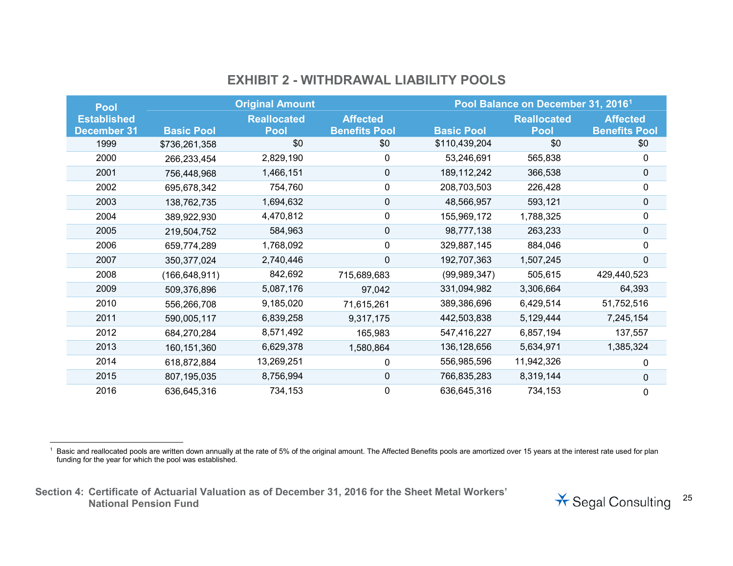# <span id="page-24-0"></span>**EXHIBIT 2 - WITHDRAWAL LIABILITY POOLS**

| <b>Pool</b>        | <b>Original Amount</b> |                    |                      | Pool Balance on December 31, 2016 <sup>1</sup> |                    |                      |
|--------------------|------------------------|--------------------|----------------------|------------------------------------------------|--------------------|----------------------|
| <b>Established</b> |                        | <b>Reallocated</b> | <b>Affected</b>      |                                                | <b>Reallocated</b> | <b>Affected</b>      |
| <b>December 31</b> | <b>Basic Pool</b>      | Pool               | <b>Benefits Pool</b> | <b>Basic Pool</b>                              | <b>Pool</b>        | <b>Benefits Pool</b> |
| 1999               | \$736,261,358          | \$0                | \$0                  | \$110,439,204                                  | \$0                | \$0                  |
| 2000               | 266,233,454            | 2,829,190          | 0                    | 53,246,691                                     | 565,838            | 0                    |
| 2001               | 756,448,968            | 1,466,151          | 0                    | 189, 112, 242                                  | 366,538            | 0                    |
| 2002               | 695,678,342            | 754,760            | 0                    | 208,703,503                                    | 226,428            | 0                    |
| 2003               | 138,762,735            | 1,694,632          | 0                    | 48,566,957                                     | 593,121            | 0                    |
| 2004               | 389,922,930            | 4,470,812          | 0                    | 155,969,172                                    | 1,788,325          | 0                    |
| 2005               | 219,504,752            | 584,963            | 0                    | 98,777,138                                     | 263,233            | 0                    |
| 2006               | 659,774,289            | 1,768,092          | 0                    | 329,887,145                                    | 884,046            | 0                    |
| 2007               | 350, 377, 024          | 2,740,446          | 0                    | 192,707,363                                    | 1,507,245          | $\mathbf{0}$         |
| 2008               | (166, 648, 911)        | 842,692            | 715,689,683          | (99, 989, 347)                                 | 505,615            | 429,440,523          |
| 2009               | 509,376,896            | 5,087,176          | 97,042               | 331,094,982                                    | 3,306,664          | 64,393               |
| 2010               | 556,266,708            | 9,185,020          | 71,615,261           | 389,386,696                                    | 6,429,514          | 51,752,516           |
| 2011               | 590,005,117            | 6,839,258          | 9,317,175            | 442,503,838                                    | 5,129,444          | 7,245,154            |
| 2012               | 684,270,284            | 8,571,492          | 165,983              | 547,416,227                                    | 6,857,194          | 137,557              |
| 2013               | 160,151,360            | 6,629,378          | 1,580,864            | 136,128,656                                    | 5,634,971          | 1,385,324            |
| 2014               | 618,872,884            | 13,269,251         | 0                    | 556,985,596                                    | 11,942,326         | 0                    |
| 2015               | 807,195,035            | 8,756,994          | 0                    | 766,835,283                                    | 8,319,144          | 0                    |
| 2016               | 636,645,316            | 734,153            | 0                    | 636,645,316                                    | 734,153            | 0                    |

 1 Basic and reallocated pools are written down annually at the rate of 5% of the original amount. The Affected Benefits pools are amortized over 15 years at the interest rate used for plan funding for the year for which the pool was established.

**Section 4: Certificate of Actuarial Valuation as of December 31, 2016 for the Sheet Metal Workers'** 

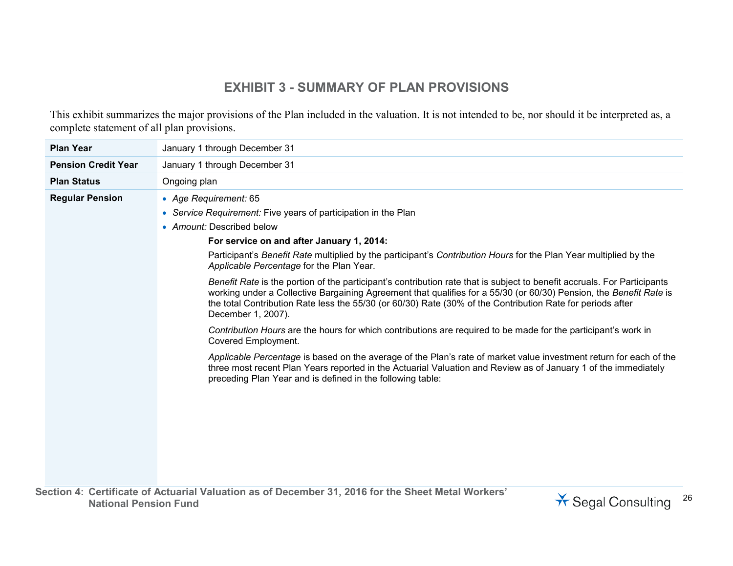# **EXHIBIT 3 - SUMMARY OF PLAN PROVISIONS**

This exhibit summarizes the major provisions of the Plan included in the valuation. It is not intended to be, nor should it be interpreted as, a complete statement of all plan provisions.

| <b>Plan Year</b>           | January 1 through December 31                                                                                                                                                                                                                                                                                                                                                                                                                                                                                                                                                                                                                                                                                                                                                                                                                                                                                                                                                                                                                                                                                                                                           |
|----------------------------|-------------------------------------------------------------------------------------------------------------------------------------------------------------------------------------------------------------------------------------------------------------------------------------------------------------------------------------------------------------------------------------------------------------------------------------------------------------------------------------------------------------------------------------------------------------------------------------------------------------------------------------------------------------------------------------------------------------------------------------------------------------------------------------------------------------------------------------------------------------------------------------------------------------------------------------------------------------------------------------------------------------------------------------------------------------------------------------------------------------------------------------------------------------------------|
| <b>Pension Credit Year</b> | January 1 through December 31                                                                                                                                                                                                                                                                                                                                                                                                                                                                                                                                                                                                                                                                                                                                                                                                                                                                                                                                                                                                                                                                                                                                           |
| <b>Plan Status</b>         | Ongoing plan                                                                                                                                                                                                                                                                                                                                                                                                                                                                                                                                                                                                                                                                                                                                                                                                                                                                                                                                                                                                                                                                                                                                                            |
| <b>Regular Pension</b>     | • Age Requirement: 65<br>• Service Requirement: Five years of participation in the Plan<br>• Amount: Described below<br>For service on and after January 1, 2014:<br>Participant's Benefit Rate multiplied by the participant's Contribution Hours for the Plan Year multiplied by the<br>Applicable Percentage for the Plan Year.<br>Benefit Rate is the portion of the participant's contribution rate that is subject to benefit accruals. For Participants<br>working under a Collective Bargaining Agreement that qualifies for a 55/30 (or 60/30) Pension, the Benefit Rate is<br>the total Contribution Rate less the 55/30 (or 60/30) Rate (30% of the Contribution Rate for periods after<br>December 1, 2007).<br>Contribution Hours are the hours for which contributions are required to be made for the participant's work in<br>Covered Employment.<br>Applicable Percentage is based on the average of the Plan's rate of market value investment return for each of the<br>three most recent Plan Years reported in the Actuarial Valuation and Review as of January 1 of the immediately<br>preceding Plan Year and is defined in the following table: |

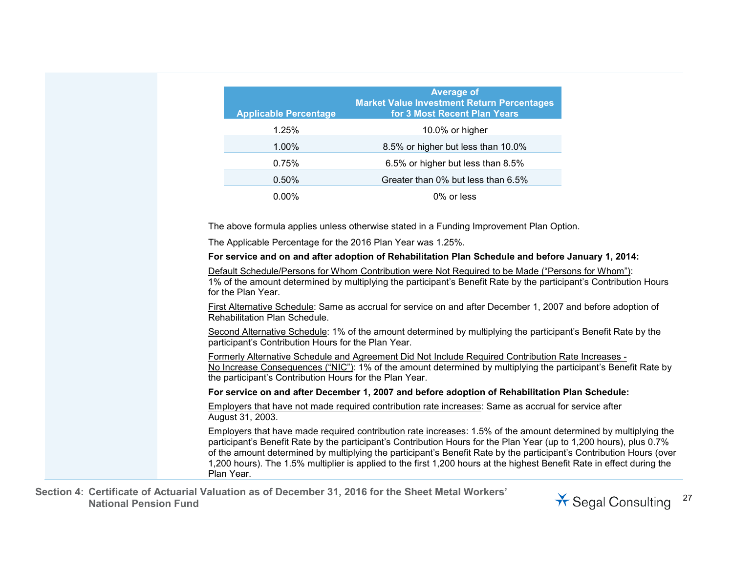| <b>Applicable Percentage</b>                                                                                           | <b>Average of</b><br><b>Market Value Investment Return Percentages</b><br>for 3 Most Recent Plan Years                                                                                                                                                                                                                                                         |  |
|------------------------------------------------------------------------------------------------------------------------|----------------------------------------------------------------------------------------------------------------------------------------------------------------------------------------------------------------------------------------------------------------------------------------------------------------------------------------------------------------|--|
| 1.25%                                                                                                                  | 10.0% or higher                                                                                                                                                                                                                                                                                                                                                |  |
| 1.00%                                                                                                                  | 8.5% or higher but less than 10.0%                                                                                                                                                                                                                                                                                                                             |  |
| 0.75%                                                                                                                  | 6.5% or higher but less than 8.5%                                                                                                                                                                                                                                                                                                                              |  |
| 0.50%                                                                                                                  | Greater than 0% but less than 6.5%                                                                                                                                                                                                                                                                                                                             |  |
| 0.00%                                                                                                                  | 0% or less                                                                                                                                                                                                                                                                                                                                                     |  |
|                                                                                                                        | The above formula applies unless otherwise stated in a Funding Improvement Plan Option.                                                                                                                                                                                                                                                                        |  |
| The Applicable Percentage for the 2016 Plan Year was 1.25%.                                                            |                                                                                                                                                                                                                                                                                                                                                                |  |
|                                                                                                                        | For service and on and after adoption of Rehabilitation Plan Schedule and before January 1, 2014:                                                                                                                                                                                                                                                              |  |
| for the Plan Year.                                                                                                     | Default Schedule/Persons for Whom Contribution were Not Required to be Made ("Persons for Whom"):<br>1% of the amount determined by multiplying the participant's Benefit Rate by the participant's Contribution Hours                                                                                                                                         |  |
| Rehabilitation Plan Schedule.                                                                                          | First Alternative Schedule: Same as accrual for service on and after December 1, 2007 and before adoption of                                                                                                                                                                                                                                                   |  |
| participant's Contribution Hours for the Plan Year.                                                                    | Second Alternative Schedule: 1% of the amount determined by multiplying the participant's Benefit Rate by the                                                                                                                                                                                                                                                  |  |
| the participant's Contribution Hours for the Plan Year.                                                                | Formerly Alternative Schedule and Agreement Did Not Include Required Contribution Rate Increases -<br>No Increase Consequences ("NIC"): 1% of the amount determined by multiplying the participant's Benefit Rate by                                                                                                                                           |  |
|                                                                                                                        | For service on and after December 1, 2007 and before adoption of Rehabilitation Plan Schedule:                                                                                                                                                                                                                                                                 |  |
| August 31, 2003.                                                                                                       | Employers that have not made required contribution rate increases: Same as accrual for service after                                                                                                                                                                                                                                                           |  |
| 1,200 hours). The 1.5% multiplier is applied to the first 1,200 hours at the highest Benefit Rate in effect during the | Employers that have made required contribution rate increases: 1.5% of the amount determined by multiplying the<br>participant's Benefit Rate by the participant's Contribution Hours for the Plan Year (up to 1,200 hours), plus 0.7%<br>of the amount determined by multiplying the participant's Benefit Rate by the participant's Contribution Hours (over |  |

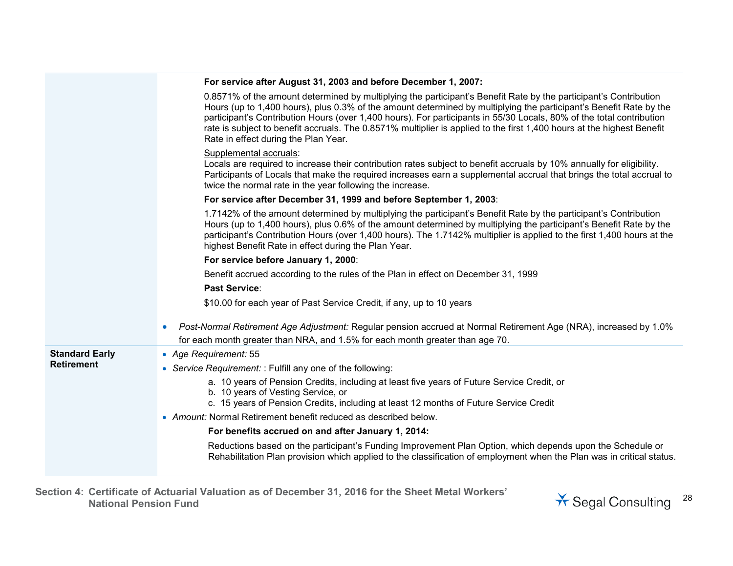|                       | For service after August 31, 2003 and before December 1, 2007:                                                                                                                                                                                                                                                                                                                                                                                                                                                                   |
|-----------------------|----------------------------------------------------------------------------------------------------------------------------------------------------------------------------------------------------------------------------------------------------------------------------------------------------------------------------------------------------------------------------------------------------------------------------------------------------------------------------------------------------------------------------------|
|                       | 0.8571% of the amount determined by multiplying the participant's Benefit Rate by the participant's Contribution<br>Hours (up to 1,400 hours), plus 0.3% of the amount determined by multiplying the participant's Benefit Rate by the<br>participant's Contribution Hours (over 1,400 hours). For participants in 55/30 Locals, 80% of the total contribution<br>rate is subject to benefit accruals. The 0.8571% multiplier is applied to the first 1,400 hours at the highest Benefit<br>Rate in effect during the Plan Year. |
|                       | Supplemental accruals:<br>Locals are required to increase their contribution rates subject to benefit accruals by 10% annually for eligibility.<br>Participants of Locals that make the required increases earn a supplemental accrual that brings the total accrual to<br>twice the normal rate in the year following the increase.                                                                                                                                                                                             |
|                       | For service after December 31, 1999 and before September 1, 2003:                                                                                                                                                                                                                                                                                                                                                                                                                                                                |
|                       | 1.7142% of the amount determined by multiplying the participant's Benefit Rate by the participant's Contribution<br>Hours (up to 1,400 hours), plus 0.6% of the amount determined by multiplying the participant's Benefit Rate by the<br>participant's Contribution Hours (over 1,400 hours). The 1.7142% multiplier is applied to the first 1,400 hours at the<br>highest Benefit Rate in effect during the Plan Year.                                                                                                         |
|                       | For service before January 1, 2000:                                                                                                                                                                                                                                                                                                                                                                                                                                                                                              |
|                       | Benefit accrued according to the rules of the Plan in effect on December 31, 1999                                                                                                                                                                                                                                                                                                                                                                                                                                                |
|                       | <b>Past Service:</b>                                                                                                                                                                                                                                                                                                                                                                                                                                                                                                             |
|                       | \$10.00 for each year of Past Service Credit, if any, up to 10 years                                                                                                                                                                                                                                                                                                                                                                                                                                                             |
|                       | Post-Normal Retirement Age Adjustment: Regular pension accrued at Normal Retirement Age (NRA), increased by 1.0%<br>for each month greater than NRA, and 1.5% for each month greater than age 70.                                                                                                                                                                                                                                                                                                                                |
| <b>Standard Early</b> | • Age Requirement: 55                                                                                                                                                                                                                                                                                                                                                                                                                                                                                                            |
| <b>Retirement</b>     | • Service Requirement: : Fulfill any one of the following:                                                                                                                                                                                                                                                                                                                                                                                                                                                                       |
|                       | a. 10 years of Pension Credits, including at least five years of Future Service Credit, or<br>b. 10 years of Vesting Service, or<br>c. 15 years of Pension Credits, including at least 12 months of Future Service Credit                                                                                                                                                                                                                                                                                                        |
|                       | • Amount: Normal Retirement benefit reduced as described below.                                                                                                                                                                                                                                                                                                                                                                                                                                                                  |
|                       | For benefits accrued on and after January 1, 2014:                                                                                                                                                                                                                                                                                                                                                                                                                                                                               |
|                       | Reductions based on the participant's Funding Improvement Plan Option, which depends upon the Schedule or                                                                                                                                                                                                                                                                                                                                                                                                                        |
|                       | Rehabilitation Plan provision which applied to the classification of employment when the Plan was in critical status.                                                                                                                                                                                                                                                                                                                                                                                                            |
|                       |                                                                                                                                                                                                                                                                                                                                                                                                                                                                                                                                  |

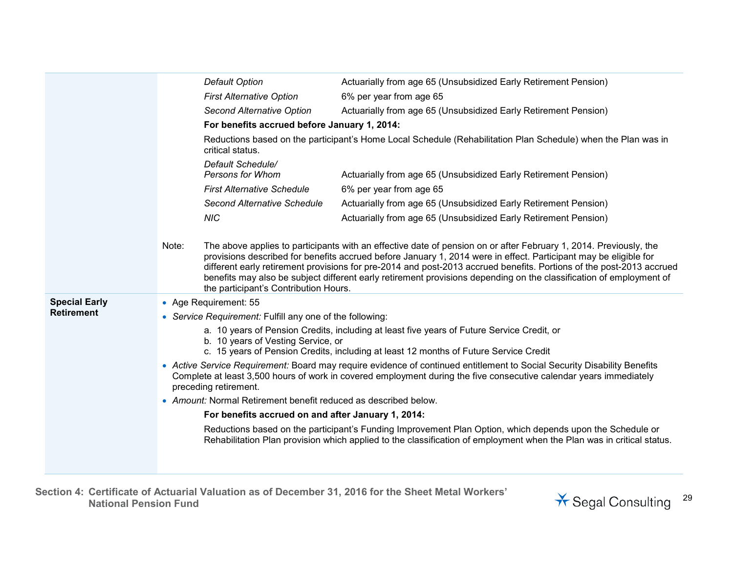|                      |                                                                                                                             | Default Option                                                  | Actuarially from age 65 (Unsubsidized Early Retirement Pension)                                                                                                                                                                                                                                                                                                                                                                                                                      |  |  |  |
|----------------------|-----------------------------------------------------------------------------------------------------------------------------|-----------------------------------------------------------------|--------------------------------------------------------------------------------------------------------------------------------------------------------------------------------------------------------------------------------------------------------------------------------------------------------------------------------------------------------------------------------------------------------------------------------------------------------------------------------------|--|--|--|
|                      |                                                                                                                             | <b>First Alternative Option</b>                                 | 6% per year from age 65                                                                                                                                                                                                                                                                                                                                                                                                                                                              |  |  |  |
|                      |                                                                                                                             | Second Alternative Option                                       | Actuarially from age 65 (Unsubsidized Early Retirement Pension)                                                                                                                                                                                                                                                                                                                                                                                                                      |  |  |  |
|                      | For benefits accrued before January 1, 2014:                                                                                |                                                                 |                                                                                                                                                                                                                                                                                                                                                                                                                                                                                      |  |  |  |
|                      | critical status.                                                                                                            |                                                                 | Reductions based on the participant's Home Local Schedule (Rehabilitation Plan Schedule) when the Plan was in                                                                                                                                                                                                                                                                                                                                                                        |  |  |  |
|                      |                                                                                                                             | Default Schedule/<br><b>Persons for Whom</b>                    | Actuarially from age 65 (Unsubsidized Early Retirement Pension)                                                                                                                                                                                                                                                                                                                                                                                                                      |  |  |  |
|                      |                                                                                                                             | <b>First Alternative Schedule</b>                               | 6% per year from age 65                                                                                                                                                                                                                                                                                                                                                                                                                                                              |  |  |  |
|                      |                                                                                                                             | Second Alternative Schedule                                     | Actuarially from age 65 (Unsubsidized Early Retirement Pension)                                                                                                                                                                                                                                                                                                                                                                                                                      |  |  |  |
|                      |                                                                                                                             | <b>NIC</b>                                                      | Actuarially from age 65 (Unsubsidized Early Retirement Pension)                                                                                                                                                                                                                                                                                                                                                                                                                      |  |  |  |
|                      |                                                                                                                             |                                                                 |                                                                                                                                                                                                                                                                                                                                                                                                                                                                                      |  |  |  |
|                      | Note:                                                                                                                       | the participant's Contribution Hours.                           | The above applies to participants with an effective date of pension on or after February 1, 2014. Previously, the<br>provisions described for benefits accrued before January 1, 2014 were in effect. Participant may be eligible for<br>different early retirement provisions for pre-2014 and post-2013 accrued benefits. Portions of the post-2013 accrued<br>benefits may also be subject different early retirement provisions depending on the classification of employment of |  |  |  |
| <b>Special Early</b> | • Age Requirement: 55                                                                                                       |                                                                 |                                                                                                                                                                                                                                                                                                                                                                                                                                                                                      |  |  |  |
| <b>Retirement</b>    | • Service Requirement: Fulfill any one of the following:                                                                    |                                                                 |                                                                                                                                                                                                                                                                                                                                                                                                                                                                                      |  |  |  |
|                      | a. 10 years of Pension Credits, including at least five years of Future Service Credit, or                                  |                                                                 |                                                                                                                                                                                                                                                                                                                                                                                                                                                                                      |  |  |  |
|                      | b. 10 years of Vesting Service, or<br>c. 15 years of Pension Credits, including at least 12 months of Future Service Credit |                                                                 |                                                                                                                                                                                                                                                                                                                                                                                                                                                                                      |  |  |  |
|                      |                                                                                                                             | preceding retirement.                                           | • Active Service Requirement: Board may require evidence of continued entitlement to Social Security Disability Benefits<br>Complete at least 3,500 hours of work in covered employment during the five consecutive calendar years immediately                                                                                                                                                                                                                                       |  |  |  |
|                      |                                                                                                                             | • Amount: Normal Retirement benefit reduced as described below. |                                                                                                                                                                                                                                                                                                                                                                                                                                                                                      |  |  |  |
|                      |                                                                                                                             | For benefits accrued on and after January 1, 2014:              |                                                                                                                                                                                                                                                                                                                                                                                                                                                                                      |  |  |  |
|                      |                                                                                                                             |                                                                 | Reductions based on the participant's Funding Improvement Plan Option, which depends upon the Schedule or<br>Rehabilitation Plan provision which applied to the classification of employment when the Plan was in critical status.                                                                                                                                                                                                                                                   |  |  |  |
|                      |                                                                                                                             |                                                                 |                                                                                                                                                                                                                                                                                                                                                                                                                                                                                      |  |  |  |

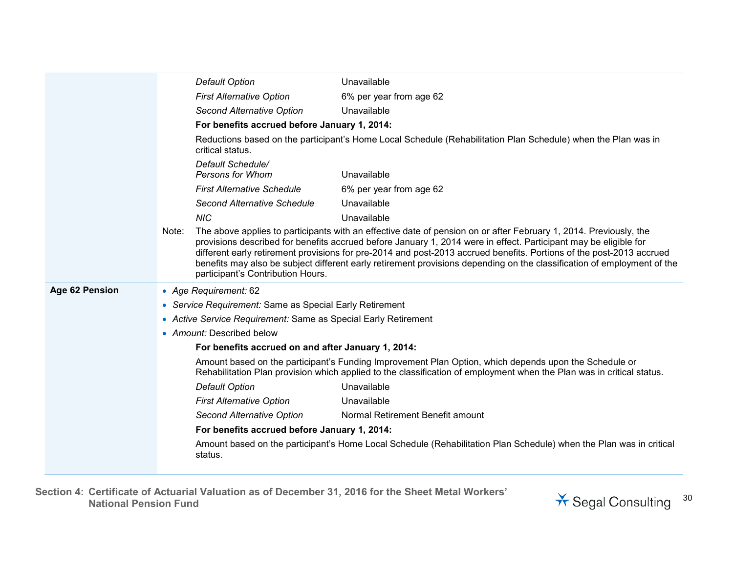|                |       | <b>Default Option</b>                                                                                                             | Unavailable                                                                                                                                                                                                                                                                                                                                                                                                                                                                              |
|----------------|-------|-----------------------------------------------------------------------------------------------------------------------------------|------------------------------------------------------------------------------------------------------------------------------------------------------------------------------------------------------------------------------------------------------------------------------------------------------------------------------------------------------------------------------------------------------------------------------------------------------------------------------------------|
|                |       | <b>First Alternative Option</b>                                                                                                   | 6% per year from age 62                                                                                                                                                                                                                                                                                                                                                                                                                                                                  |
|                |       | Second Alternative Option                                                                                                         | Unavailable                                                                                                                                                                                                                                                                                                                                                                                                                                                                              |
|                |       | For benefits accrued before January 1, 2014:                                                                                      |                                                                                                                                                                                                                                                                                                                                                                                                                                                                                          |
|                |       | Reductions based on the participant's Home Local Schedule (Rehabilitation Plan Schedule) when the Plan was in<br>critical status. |                                                                                                                                                                                                                                                                                                                                                                                                                                                                                          |
|                |       | Default Schedule/<br>Persons for Whom                                                                                             | Unavailable                                                                                                                                                                                                                                                                                                                                                                                                                                                                              |
|                |       | <b>First Alternative Schedule</b>                                                                                                 | 6% per year from age 62                                                                                                                                                                                                                                                                                                                                                                                                                                                                  |
|                |       | Second Alternative Schedule                                                                                                       | Unavailable                                                                                                                                                                                                                                                                                                                                                                                                                                                                              |
|                |       | <b>NIC</b>                                                                                                                        | Unavailable                                                                                                                                                                                                                                                                                                                                                                                                                                                                              |
|                | Note: | participant's Contribution Hours.                                                                                                 | The above applies to participants with an effective date of pension on or after February 1, 2014. Previously, the<br>provisions described for benefits accrued before January 1, 2014 were in effect. Participant may be eligible for<br>different early retirement provisions for pre-2014 and post-2013 accrued benefits. Portions of the post-2013 accrued<br>benefits may also be subject different early retirement provisions depending on the classification of employment of the |
| Age 62 Pension |       | • Age Requirement: 62                                                                                                             |                                                                                                                                                                                                                                                                                                                                                                                                                                                                                          |
|                |       | • Service Requirement: Same as Special Early Retirement                                                                           |                                                                                                                                                                                                                                                                                                                                                                                                                                                                                          |
|                |       | • Active Service Requirement: Same as Special Early Retirement                                                                    |                                                                                                                                                                                                                                                                                                                                                                                                                                                                                          |
|                |       | • Amount: Described below                                                                                                         |                                                                                                                                                                                                                                                                                                                                                                                                                                                                                          |
|                |       | For benefits accrued on and after January 1, 2014:                                                                                |                                                                                                                                                                                                                                                                                                                                                                                                                                                                                          |
|                |       |                                                                                                                                   | Amount based on the participant's Funding Improvement Plan Option, which depends upon the Schedule or<br>Rehabilitation Plan provision which applied to the classification of employment when the Plan was in critical status.                                                                                                                                                                                                                                                           |
|                |       | <b>Default Option</b>                                                                                                             | Unavailable                                                                                                                                                                                                                                                                                                                                                                                                                                                                              |
|                |       | <b>First Alternative Option</b>                                                                                                   | Unavailable                                                                                                                                                                                                                                                                                                                                                                                                                                                                              |
|                |       | Second Alternative Option                                                                                                         | Normal Retirement Benefit amount                                                                                                                                                                                                                                                                                                                                                                                                                                                         |
|                |       | For benefits accrued before January 1, 2014:                                                                                      |                                                                                                                                                                                                                                                                                                                                                                                                                                                                                          |
|                |       | status.                                                                                                                           | Amount based on the participant's Home Local Schedule (Rehabilitation Plan Schedule) when the Plan was in critical                                                                                                                                                                                                                                                                                                                                                                       |

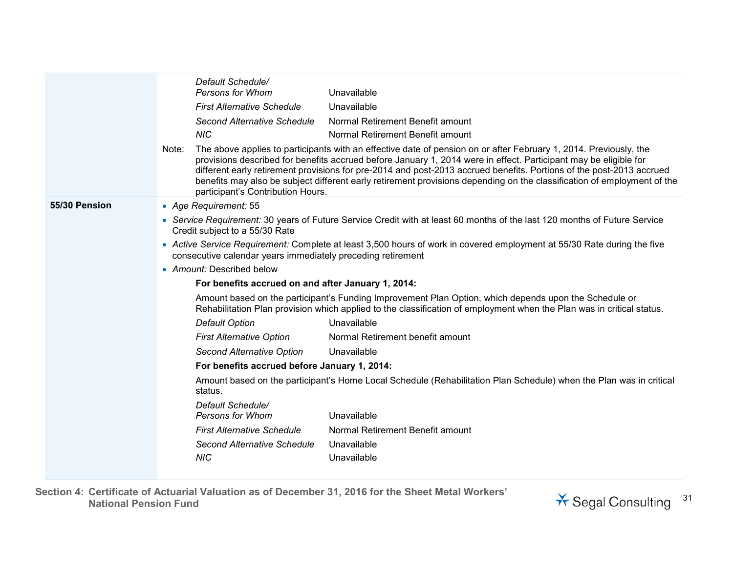|               | Default Schedule/<br>Unavailable<br>Persons for Whom                                                                                                                                                                                                                                                                                                                                                                                                                                                                                   |
|---------------|----------------------------------------------------------------------------------------------------------------------------------------------------------------------------------------------------------------------------------------------------------------------------------------------------------------------------------------------------------------------------------------------------------------------------------------------------------------------------------------------------------------------------------------|
|               | <b>First Alternative Schedule</b><br>Unavailable                                                                                                                                                                                                                                                                                                                                                                                                                                                                                       |
|               | Normal Retirement Benefit amount<br>Second Alternative Schedule                                                                                                                                                                                                                                                                                                                                                                                                                                                                        |
|               | <b>NIC</b><br>Normal Retirement Benefit amount                                                                                                                                                                                                                                                                                                                                                                                                                                                                                         |
|               |                                                                                                                                                                                                                                                                                                                                                                                                                                                                                                                                        |
|               | The above applies to participants with an effective date of pension on or after February 1, 2014. Previously, the<br>Note:<br>provisions described for benefits accrued before January 1, 2014 were in effect. Participant may be eligible for<br>different early retirement provisions for pre-2014 and post-2013 accrued benefits. Portions of the post-2013 accrued<br>benefits may also be subject different early retirement provisions depending on the classification of employment of the<br>participant's Contribution Hours. |
| 55/30 Pension | • Age Requirement: 55                                                                                                                                                                                                                                                                                                                                                                                                                                                                                                                  |
|               | • Service Requirement: 30 years of Future Service Credit with at least 60 months of the last 120 months of Future Service<br>Credit subject to a 55/30 Rate                                                                                                                                                                                                                                                                                                                                                                            |
|               | • Active Service Requirement: Complete at least 3,500 hours of work in covered employment at 55/30 Rate during the five<br>consecutive calendar years immediately preceding retirement                                                                                                                                                                                                                                                                                                                                                 |
|               | • Amount: Described below                                                                                                                                                                                                                                                                                                                                                                                                                                                                                                              |
|               | For benefits accrued on and after January 1, 2014:                                                                                                                                                                                                                                                                                                                                                                                                                                                                                     |
|               | Amount based on the participant's Funding Improvement Plan Option, which depends upon the Schedule or<br>Rehabilitation Plan provision which applied to the classification of employment when the Plan was in critical status.                                                                                                                                                                                                                                                                                                         |
|               | <b>Default Option</b><br>Unavailable                                                                                                                                                                                                                                                                                                                                                                                                                                                                                                   |
|               | Normal Retirement benefit amount<br><b>First Alternative Option</b>                                                                                                                                                                                                                                                                                                                                                                                                                                                                    |
|               | <b>Second Alternative Option</b><br>Unavailable                                                                                                                                                                                                                                                                                                                                                                                                                                                                                        |
|               | For benefits accrued before January 1, 2014:                                                                                                                                                                                                                                                                                                                                                                                                                                                                                           |
|               | Amount based on the participant's Home Local Schedule (Rehabilitation Plan Schedule) when the Plan was in critical<br>status.                                                                                                                                                                                                                                                                                                                                                                                                          |
|               | Default Schedule/<br>Unavailable<br><b>Persons for Whom</b>                                                                                                                                                                                                                                                                                                                                                                                                                                                                            |
|               | Normal Retirement Benefit amount<br><b>First Alternative Schedule</b>                                                                                                                                                                                                                                                                                                                                                                                                                                                                  |
|               | Second Alternative Schedule<br>Unavailable                                                                                                                                                                                                                                                                                                                                                                                                                                                                                             |
|               | <b>NIC</b><br>Unavailable                                                                                                                                                                                                                                                                                                                                                                                                                                                                                                              |
|               |                                                                                                                                                                                                                                                                                                                                                                                                                                                                                                                                        |

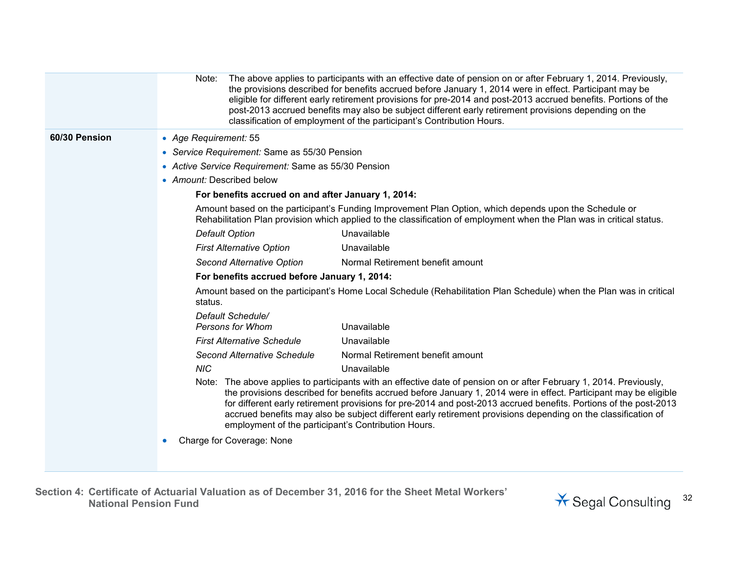|               | Note:                                               | The above applies to participants with an effective date of pension on or after February 1, 2014. Previously,<br>the provisions described for benefits accrued before January 1, 2014 were in effect. Participant may be<br>eligible for different early retirement provisions for pre-2014 and post-2013 accrued benefits. Portions of the<br>post-2013 accrued benefits may also be subject different early retirement provisions depending on the<br>classification of employment of the participant's Contribution Hours. |
|---------------|-----------------------------------------------------|-------------------------------------------------------------------------------------------------------------------------------------------------------------------------------------------------------------------------------------------------------------------------------------------------------------------------------------------------------------------------------------------------------------------------------------------------------------------------------------------------------------------------------|
| 60/30 Pension | • Age Requirement: 55                               |                                                                                                                                                                                                                                                                                                                                                                                                                                                                                                                               |
|               | • Service Requirement: Same as 55/30 Pension        |                                                                                                                                                                                                                                                                                                                                                                                                                                                                                                                               |
|               | • Active Service Requirement: Same as 55/30 Pension |                                                                                                                                                                                                                                                                                                                                                                                                                                                                                                                               |
|               | • Amount: Described below                           |                                                                                                                                                                                                                                                                                                                                                                                                                                                                                                                               |
|               | For benefits accrued on and after January 1, 2014:  |                                                                                                                                                                                                                                                                                                                                                                                                                                                                                                                               |
|               |                                                     | Amount based on the participant's Funding Improvement Plan Option, which depends upon the Schedule or<br>Rehabilitation Plan provision which applied to the classification of employment when the Plan was in critical status.                                                                                                                                                                                                                                                                                                |
|               | <b>Default Option</b>                               | Unavailable                                                                                                                                                                                                                                                                                                                                                                                                                                                                                                                   |
|               | <b>First Alternative Option</b>                     | Unavailable                                                                                                                                                                                                                                                                                                                                                                                                                                                                                                                   |
|               | Second Alternative Option                           | Normal Retirement benefit amount                                                                                                                                                                                                                                                                                                                                                                                                                                                                                              |
|               | For benefits accrued before January 1, 2014:        |                                                                                                                                                                                                                                                                                                                                                                                                                                                                                                                               |
|               | status.                                             | Amount based on the participant's Home Local Schedule (Rehabilitation Plan Schedule) when the Plan was in critical                                                                                                                                                                                                                                                                                                                                                                                                            |
|               | Default Schedule/<br><b>Persons for Whom</b>        | Unavailable                                                                                                                                                                                                                                                                                                                                                                                                                                                                                                                   |
|               | <b>First Alternative Schedule</b>                   | Unavailable                                                                                                                                                                                                                                                                                                                                                                                                                                                                                                                   |
|               | <b>Second Alternative Schedule</b>                  | Normal Retirement benefit amount                                                                                                                                                                                                                                                                                                                                                                                                                                                                                              |
|               | <b>NIC</b>                                          | Unavailable                                                                                                                                                                                                                                                                                                                                                                                                                                                                                                                   |
|               | employment of the participant's Contribution Hours. | Note: The above applies to participants with an effective date of pension on or after February 1, 2014. Previously,<br>the provisions described for benefits accrued before January 1, 2014 were in effect. Participant may be eligible<br>for different early retirement provisions for pre-2014 and post-2013 accrued benefits. Portions of the post-2013<br>accrued benefits may also be subject different early retirement provisions depending on the classification of                                                  |
|               | Charge for Coverage: None                           |                                                                                                                                                                                                                                                                                                                                                                                                                                                                                                                               |

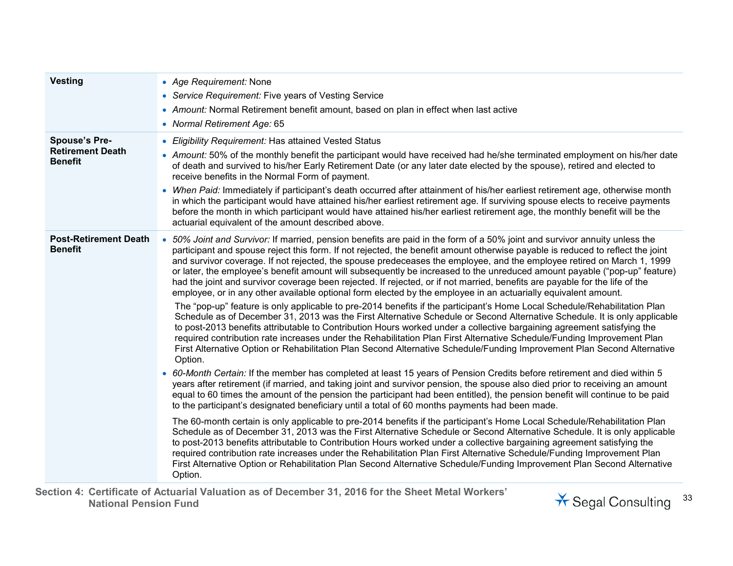| <b>Vesting</b>                                                    | • Age Requirement: None<br>• Service Requirement: Five years of Vesting Service<br>• Amount: Normal Retirement benefit amount, based on plan in effect when last active<br>• Normal Retirement Age: 65                                                                                                                                                                                                                                                                                                                                                                                                                                                                                                                                                                                                                                                                                                                                                                                                                                                                                                                                                                                                                                                                                                                                                                                                                                                                                                                                                                                                                                                                                                                                                                                                                                                                                                                                                                                                                                                                                                                                                                                                                                                                                                                                                                                                                                                                                                                                                                     |
|-------------------------------------------------------------------|----------------------------------------------------------------------------------------------------------------------------------------------------------------------------------------------------------------------------------------------------------------------------------------------------------------------------------------------------------------------------------------------------------------------------------------------------------------------------------------------------------------------------------------------------------------------------------------------------------------------------------------------------------------------------------------------------------------------------------------------------------------------------------------------------------------------------------------------------------------------------------------------------------------------------------------------------------------------------------------------------------------------------------------------------------------------------------------------------------------------------------------------------------------------------------------------------------------------------------------------------------------------------------------------------------------------------------------------------------------------------------------------------------------------------------------------------------------------------------------------------------------------------------------------------------------------------------------------------------------------------------------------------------------------------------------------------------------------------------------------------------------------------------------------------------------------------------------------------------------------------------------------------------------------------------------------------------------------------------------------------------------------------------------------------------------------------------------------------------------------------------------------------------------------------------------------------------------------------------------------------------------------------------------------------------------------------------------------------------------------------------------------------------------------------------------------------------------------------------------------------------------------------------------------------------------------------|
| <b>Spouse's Pre-</b><br><b>Retirement Death</b><br><b>Benefit</b> | • Eligibility Requirement: Has attained Vested Status<br>• Amount: 50% of the monthly benefit the participant would have received had he/she terminated employment on his/her date<br>of death and survived to his/her Early Retirement Date (or any later date elected by the spouse), retired and elected to<br>receive benefits in the Normal Form of payment.<br>• When Paid: Immediately if participant's death occurred after attainment of his/her earliest retirement age, otherwise month<br>in which the participant would have attained his/her earliest retirement age. If surviving spouse elects to receive payments<br>before the month in which participant would have attained his/her earliest retirement age, the monthly benefit will be the<br>actuarial equivalent of the amount described above.                                                                                                                                                                                                                                                                                                                                                                                                                                                                                                                                                                                                                                                                                                                                                                                                                                                                                                                                                                                                                                                                                                                                                                                                                                                                                                                                                                                                                                                                                                                                                                                                                                                                                                                                                    |
| <b>Post-Retirement Death</b><br><b>Benefit</b>                    | • 50% Joint and Survivor: If married, pension benefits are paid in the form of a 50% joint and survivor annuity unless the<br>participant and spouse reject this form. If not rejected, the benefit amount otherwise payable is reduced to reflect the joint<br>and survivor coverage. If not rejected, the spouse predeceases the employee, and the employee retired on March 1, 1999<br>or later, the employee's benefit amount will subsequently be increased to the unreduced amount payable ("pop-up" feature)<br>had the joint and survivor coverage been rejected. If rejected, or if not married, benefits are payable for the life of the<br>employee, or in any other available optional form elected by the employee in an actuarially equivalent amount.<br>The "pop-up" feature is only applicable to pre-2014 benefits if the participant's Home Local Schedule/Rehabilitation Plan<br>Schedule as of December 31, 2013 was the First Alternative Schedule or Second Alternative Schedule. It is only applicable<br>to post-2013 benefits attributable to Contribution Hours worked under a collective bargaining agreement satisfying the<br>required contribution rate increases under the Rehabilitation Plan First Alternative Schedule/Funding Improvement Plan<br>First Alternative Option or Rehabilitation Plan Second Alternative Schedule/Funding Improvement Plan Second Alternative<br>Option.<br>• 60-Month Certain: If the member has completed at least 15 years of Pension Credits before retirement and died within 5<br>years after retirement (if married, and taking joint and survivor pension, the spouse also died prior to receiving an amount<br>equal to 60 times the amount of the pension the participant had been entitled), the pension benefit will continue to be paid<br>to the participant's designated beneficiary until a total of 60 months payments had been made.<br>The 60-month certain is only applicable to pre-2014 benefits if the participant's Home Local Schedule/Rehabilitation Plan<br>Schedule as of December 31, 2013 was the First Alternative Schedule or Second Alternative Schedule. It is only applicable<br>to post-2013 benefits attributable to Contribution Hours worked under a collective bargaining agreement satisfying the<br>required contribution rate increases under the Rehabilitation Plan First Alternative Schedule/Funding Improvement Plan<br>First Alternative Option or Rehabilitation Plan Second Alternative Schedule/Funding Improvement Plan Second Alternative<br>Option. |

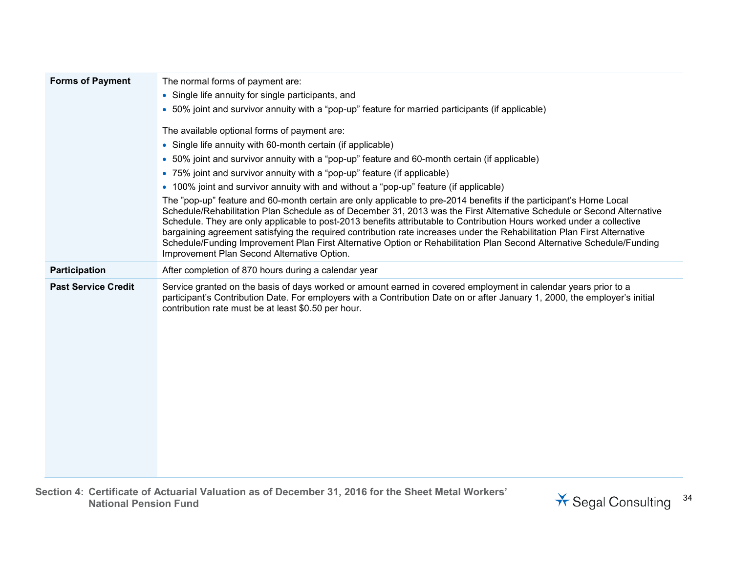| <b>Forms of Payment</b>    | The normal forms of payment are:                                                                                                                                                                                                                                                                                                                                                                                                                                                                                                                                                                                                                                          |
|----------------------------|---------------------------------------------------------------------------------------------------------------------------------------------------------------------------------------------------------------------------------------------------------------------------------------------------------------------------------------------------------------------------------------------------------------------------------------------------------------------------------------------------------------------------------------------------------------------------------------------------------------------------------------------------------------------------|
|                            | • Single life annuity for single participants, and                                                                                                                                                                                                                                                                                                                                                                                                                                                                                                                                                                                                                        |
|                            | • 50% joint and survivor annuity with a "pop-up" feature for married participants (if applicable)                                                                                                                                                                                                                                                                                                                                                                                                                                                                                                                                                                         |
|                            | The available optional forms of payment are:                                                                                                                                                                                                                                                                                                                                                                                                                                                                                                                                                                                                                              |
|                            | • Single life annuity with 60-month certain (if applicable)                                                                                                                                                                                                                                                                                                                                                                                                                                                                                                                                                                                                               |
|                            | • 50% joint and survivor annuity with a "pop-up" feature and 60-month certain (if applicable)                                                                                                                                                                                                                                                                                                                                                                                                                                                                                                                                                                             |
|                            | • 75% joint and survivor annuity with a "pop-up" feature (if applicable)                                                                                                                                                                                                                                                                                                                                                                                                                                                                                                                                                                                                  |
|                            | • 100% joint and survivor annuity with and without a "pop-up" feature (if applicable)                                                                                                                                                                                                                                                                                                                                                                                                                                                                                                                                                                                     |
|                            | The "pop-up" feature and 60-month certain are only applicable to pre-2014 benefits if the participant's Home Local<br>Schedule/Rehabilitation Plan Schedule as of December 31, 2013 was the First Alternative Schedule or Second Alternative<br>Schedule. They are only applicable to post-2013 benefits attributable to Contribution Hours worked under a collective<br>bargaining agreement satisfying the required contribution rate increases under the Rehabilitation Plan First Alternative<br>Schedule/Funding Improvement Plan First Alternative Option or Rehabilitation Plan Second Alternative Schedule/Funding<br>Improvement Plan Second Alternative Option. |
| Participation              | After completion of 870 hours during a calendar year                                                                                                                                                                                                                                                                                                                                                                                                                                                                                                                                                                                                                      |
| <b>Past Service Credit</b> | Service granted on the basis of days worked or amount earned in covered employment in calendar years prior to a<br>participant's Contribution Date. For employers with a Contribution Date on or after January 1, 2000, the employer's initial<br>contribution rate must be at least \$0.50 per hour.                                                                                                                                                                                                                                                                                                                                                                     |

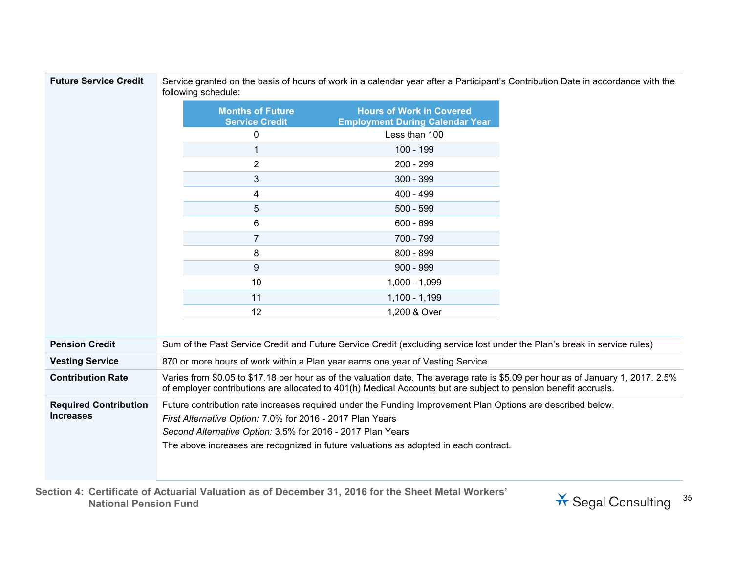Service granted on the basis of hours of work in a calendar year after a Participant's Contribution Date in accordance with the following schedule:

|                                                  | <b>Months of Future</b><br><b>Service Credit</b>                                                                        | <b>Hours of Work in Covered</b><br><b>Employment During Calendar Year</b>                                                                                                                                                                           |  |
|--------------------------------------------------|-------------------------------------------------------------------------------------------------------------------------|-----------------------------------------------------------------------------------------------------------------------------------------------------------------------------------------------------------------------------------------------------|--|
|                                                  | 0                                                                                                                       | Less than 100                                                                                                                                                                                                                                       |  |
|                                                  | $\mathbf 1$                                                                                                             | $100 - 199$                                                                                                                                                                                                                                         |  |
|                                                  | $\overline{c}$                                                                                                          | 200 - 299                                                                                                                                                                                                                                           |  |
|                                                  | 3                                                                                                                       | $300 - 399$                                                                                                                                                                                                                                         |  |
|                                                  | 4                                                                                                                       | 400 - 499                                                                                                                                                                                                                                           |  |
|                                                  | 5                                                                                                                       | $500 - 599$                                                                                                                                                                                                                                         |  |
|                                                  | 6                                                                                                                       | $600 - 699$                                                                                                                                                                                                                                         |  |
|                                                  | 7                                                                                                                       | 700 - 799                                                                                                                                                                                                                                           |  |
|                                                  | 8                                                                                                                       | 800 - 899                                                                                                                                                                                                                                           |  |
|                                                  | 9                                                                                                                       | $900 - 999$                                                                                                                                                                                                                                         |  |
|                                                  | 10                                                                                                                      | $1,000 - 1,099$                                                                                                                                                                                                                                     |  |
|                                                  | 11                                                                                                                      | 1,100 - 1,199                                                                                                                                                                                                                                       |  |
|                                                  | 12                                                                                                                      | 1,200 & Over                                                                                                                                                                                                                                        |  |
|                                                  |                                                                                                                         |                                                                                                                                                                                                                                                     |  |
| <b>Pension Credit</b>                            |                                                                                                                         | Sum of the Past Service Credit and Future Service Credit (excluding service lost under the Plan's break in service rules)                                                                                                                           |  |
| <b>Vesting Service</b>                           |                                                                                                                         | 870 or more hours of work within a Plan year earns one year of Vesting Service                                                                                                                                                                      |  |
| <b>Contribution Rate</b>                         |                                                                                                                         | Varies from \$0.05 to \$17.18 per hour as of the valuation date. The average rate is \$5.09 per hour as of January 1, 2017. 2.5%<br>of employer contributions are allocated to 401(h) Medical Accounts but are subject to pension benefit accruals. |  |
| <b>Required Contribution</b><br><b>Increases</b> | First Alternative Option: 7.0% for 2016 - 2017 Plan Years<br>Second Alternative Option: 3.5% for 2016 - 2017 Plan Years | Future contribution rate increases required under the Funding Improvement Plan Options are described below.<br>The above increases are recognized in future valuations as adopted in each contract.                                                 |  |

**Section 4: Certificate of Actuarial Valuation as of December 31, 2016 for the Sheet Metal Workers'** 

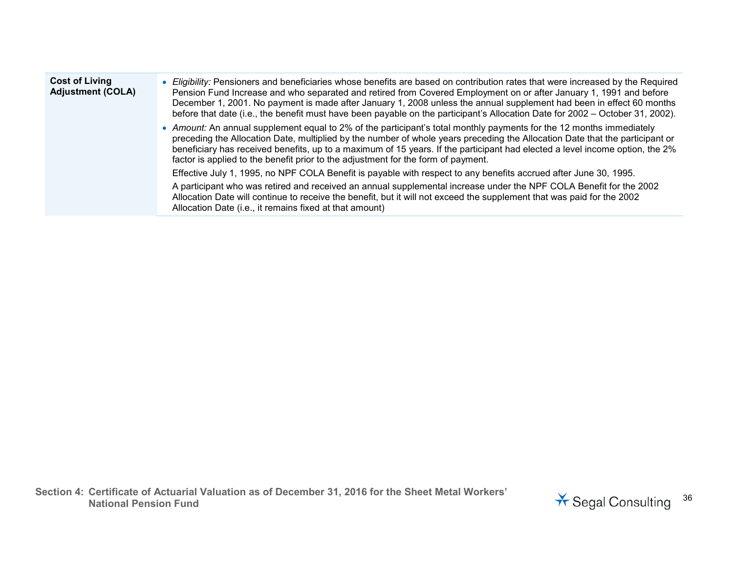| <b>Cost of Living</b><br><b>Adjustment (COLA)</b> | • Eligibility: Pensioners and beneficiaries whose benefits are based on contribution rates that were increased by the Required<br>Pension Fund Increase and who separated and retired from Covered Employment on or after January 1, 1991 and before<br>December 1, 2001. No payment is made after January 1, 2008 unless the annual supplement had been in effect 60 months<br>before that date (i.e., the benefit must have been payable on the participant's Allocation Date for 2002 – October 31, 2002). |
|---------------------------------------------------|---------------------------------------------------------------------------------------------------------------------------------------------------------------------------------------------------------------------------------------------------------------------------------------------------------------------------------------------------------------------------------------------------------------------------------------------------------------------------------------------------------------|
|                                                   | • Amount: An annual supplement equal to 2% of the participant's total monthly payments for the 12 months immediately<br>preceding the Allocation Date, multiplied by the number of whole years preceding the Allocation Date that the participant or<br>beneficiary has received benefits, up to a maximum of 15 years. If the participant had elected a level income option, the 2%<br>factor is applied to the benefit prior to the adjustment for the form of payment.                                     |
|                                                   | Effective July 1, 1995, no NPF COLA Benefit is payable with respect to any benefits accrued after June 30, 1995.                                                                                                                                                                                                                                                                                                                                                                                              |
|                                                   | A participant who was retired and received an annual supplemental increase under the NPF COLA Benefit for the 2002<br>Allocation Date will continue to receive the benefit, but it will not exceed the supplement that was paid for the 2002<br>Allocation Date (i.e., it remains fixed at that amount)                                                                                                                                                                                                       |

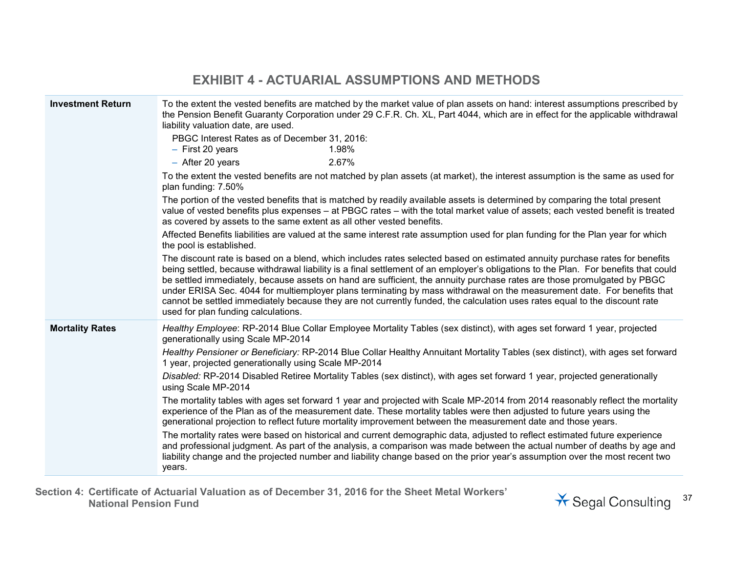## **EXHIBIT 4 - ACTUARIAL ASSUMPTIONS AND METHODS**

| <b>Investment Return</b> | To the extent the vested benefits are matched by the market value of plan assets on hand: interest assumptions prescribed by<br>the Pension Benefit Guaranty Corporation under 29 C.F.R. Ch. XL, Part 4044, which are in effect for the applicable withdrawal<br>liability valuation date, are used.                                                                                                                                                                                                                                                                                                                                                                                          |  |  |
|--------------------------|-----------------------------------------------------------------------------------------------------------------------------------------------------------------------------------------------------------------------------------------------------------------------------------------------------------------------------------------------------------------------------------------------------------------------------------------------------------------------------------------------------------------------------------------------------------------------------------------------------------------------------------------------------------------------------------------------|--|--|
|                          | PBGC Interest Rates as of December 31, 2016:<br>$-$ First 20 years<br>1.98%                                                                                                                                                                                                                                                                                                                                                                                                                                                                                                                                                                                                                   |  |  |
|                          | 2.67%<br>- After 20 years                                                                                                                                                                                                                                                                                                                                                                                                                                                                                                                                                                                                                                                                     |  |  |
|                          | To the extent the vested benefits are not matched by plan assets (at market), the interest assumption is the same as used for<br>plan funding: 7.50%                                                                                                                                                                                                                                                                                                                                                                                                                                                                                                                                          |  |  |
|                          | The portion of the vested benefits that is matched by readily available assets is determined by comparing the total present<br>value of vested benefits plus expenses - at PBGC rates - with the total market value of assets; each vested benefit is treated<br>as covered by assets to the same extent as all other vested benefits.                                                                                                                                                                                                                                                                                                                                                        |  |  |
|                          | Affected Benefits liabilities are valued at the same interest rate assumption used for plan funding for the Plan year for which<br>the pool is established.                                                                                                                                                                                                                                                                                                                                                                                                                                                                                                                                   |  |  |
|                          | The discount rate is based on a blend, which includes rates selected based on estimated annuity purchase rates for benefits<br>being settled, because withdrawal liability is a final settlement of an employer's obligations to the Plan. For benefits that could<br>be settled immediately, because assets on hand are sufficient, the annuity purchase rates are those promulgated by PBGC<br>under ERISA Sec. 4044 for multiemployer plans terminating by mass withdrawal on the measurement date. For benefits that<br>cannot be settled immediately because they are not currently funded, the calculation uses rates equal to the discount rate<br>used for plan funding calculations. |  |  |
| <b>Mortality Rates</b>   | Healthy Employee: RP-2014 Blue Collar Employee Mortality Tables (sex distinct), with ages set forward 1 year, projected<br>generationally using Scale MP-2014                                                                                                                                                                                                                                                                                                                                                                                                                                                                                                                                 |  |  |
|                          | Healthy Pensioner or Beneficiary: RP-2014 Blue Collar Healthy Annuitant Mortality Tables (sex distinct), with ages set forward<br>1 year, projected generationally using Scale MP-2014                                                                                                                                                                                                                                                                                                                                                                                                                                                                                                        |  |  |
|                          | Disabled: RP-2014 Disabled Retiree Mortality Tables (sex distinct), with ages set forward 1 year, projected generationally<br>using Scale MP-2014                                                                                                                                                                                                                                                                                                                                                                                                                                                                                                                                             |  |  |
|                          | The mortality tables with ages set forward 1 year and projected with Scale MP-2014 from 2014 reasonably reflect the mortality<br>experience of the Plan as of the measurement date. These mortality tables were then adjusted to future years using the<br>generational projection to reflect future mortality improvement between the measurement date and those years.                                                                                                                                                                                                                                                                                                                      |  |  |
|                          | The mortality rates were based on historical and current demographic data, adjusted to reflect estimated future experience<br>and professional judgment. As part of the analysis, a comparison was made between the actual number of deaths by age and<br>liability change and the projected number and liability change based on the prior year's assumption over the most recent two<br>years.                                                                                                                                                                                                                                                                                              |  |  |

**Section 4: Certificate of Actuarial Valuation as of December 31, 2016 for the Sheet Metal Workers'** 

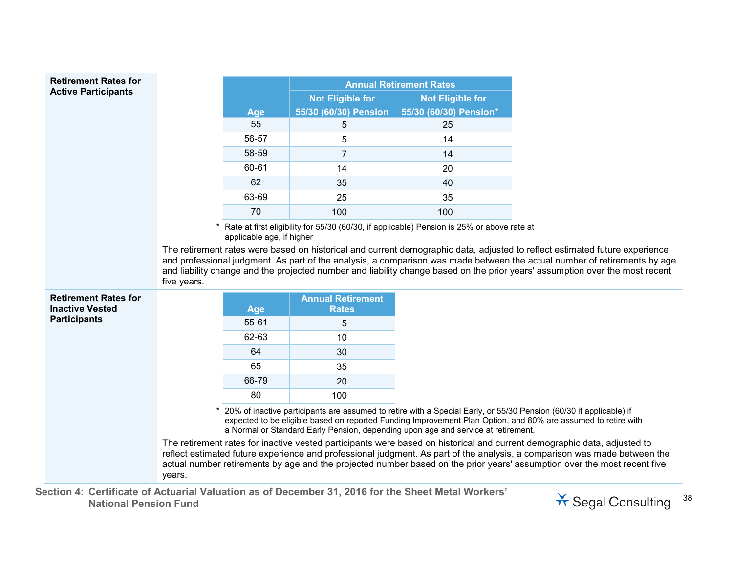| <b>Retirement Rates for</b><br><b>Active Participants</b>                    |             |                           |                          | <b>Annual Retirement Rates</b>                                                               |                                                                                                                                                                                                                                                           |
|------------------------------------------------------------------------------|-------------|---------------------------|--------------------------|----------------------------------------------------------------------------------------------|-----------------------------------------------------------------------------------------------------------------------------------------------------------------------------------------------------------------------------------------------------------|
|                                                                              |             |                           | <b>Not Eligible for</b>  | <b>Not Eligible for</b>                                                                      |                                                                                                                                                                                                                                                           |
|                                                                              |             | Age                       | 55/30 (60/30) Pension    | 55/30 (60/30) Pension*                                                                       |                                                                                                                                                                                                                                                           |
|                                                                              |             | 55                        | 5                        | 25                                                                                           |                                                                                                                                                                                                                                                           |
|                                                                              |             | 56-57                     | 5                        | 14                                                                                           |                                                                                                                                                                                                                                                           |
|                                                                              |             | 58-59                     | $\overline{7}$           | 14                                                                                           |                                                                                                                                                                                                                                                           |
|                                                                              |             | 60-61                     | 14                       | 20                                                                                           |                                                                                                                                                                                                                                                           |
|                                                                              |             | 62                        | 35                       | 40                                                                                           |                                                                                                                                                                                                                                                           |
|                                                                              |             | 63-69                     | 25                       | 35                                                                                           |                                                                                                                                                                                                                                                           |
|                                                                              |             | 70                        | 100                      | 100                                                                                          |                                                                                                                                                                                                                                                           |
|                                                                              |             | applicable age, if higher |                          | * Rate at first eligibility for 55/30 (60/30, if applicable) Pension is 25% or above rate at |                                                                                                                                                                                                                                                           |
|                                                                              |             |                           |                          |                                                                                              |                                                                                                                                                                                                                                                           |
|                                                                              | five years. |                           | <b>Annual Retirement</b> |                                                                                              | and professional judgment. As part of the analysis, a comparison was made between the actual number of retirements by age<br>and liability change and the projected number and liability change based on the prior years' assumption over the most recent |
|                                                                              |             | Age                       | <b>Rates</b>             |                                                                                              |                                                                                                                                                                                                                                                           |
|                                                                              |             | 55-61                     | 5                        |                                                                                              |                                                                                                                                                                                                                                                           |
|                                                                              |             | 62-63                     | 10                       |                                                                                              |                                                                                                                                                                                                                                                           |
|                                                                              |             | 64                        | 30                       |                                                                                              |                                                                                                                                                                                                                                                           |
|                                                                              |             | 65                        | 35                       |                                                                                              |                                                                                                                                                                                                                                                           |
|                                                                              |             | 66-79                     | 20                       |                                                                                              |                                                                                                                                                                                                                                                           |
| <b>Retirement Rates for</b><br><b>Inactive Vested</b><br><b>Participants</b> |             | 80                        | 100                      |                                                                                              |                                                                                                                                                                                                                                                           |
|                                                                              |             |                           |                          | a Normal or Standard Early Pension, depending upon age and service at retirement.            | 20% of inactive participants are assumed to retire with a Special Early, or 55/30 Pension (60/30 if applicable) if<br>expected to be eligible based on reported Funding Improvement Plan Option, and 80% are assumed to retire with                       |

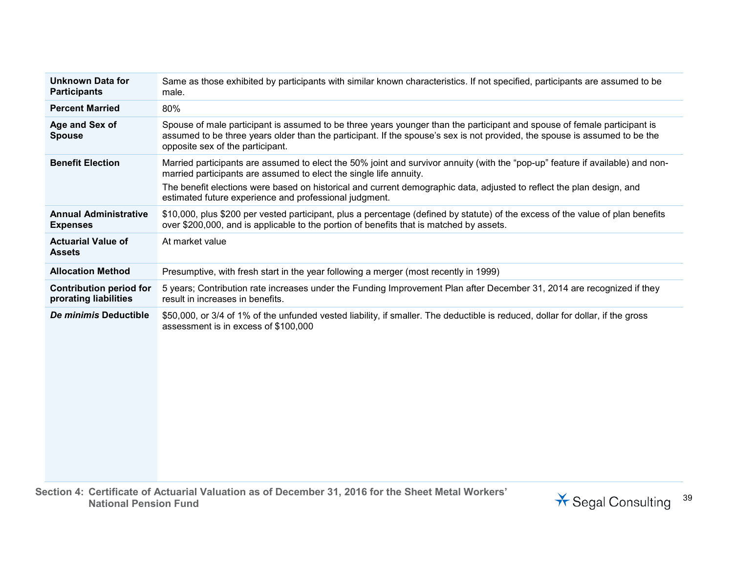| <b>Unknown Data for</b><br><b>Participants</b>          | Same as those exhibited by participants with similar known characteristics. If not specified, participants are assumed to be<br>male.                                                                                                                                                      |
|---------------------------------------------------------|--------------------------------------------------------------------------------------------------------------------------------------------------------------------------------------------------------------------------------------------------------------------------------------------|
| <b>Percent Married</b>                                  | 80%                                                                                                                                                                                                                                                                                        |
| Age and Sex of<br><b>Spouse</b>                         | Spouse of male participant is assumed to be three years younger than the participant and spouse of female participant is<br>assumed to be three years older than the participant. If the spouse's sex is not provided, the spouse is assumed to be the<br>opposite sex of the participant. |
| <b>Benefit Election</b>                                 | Married participants are assumed to elect the 50% joint and survivor annuity (with the "pop-up" feature if available) and non-<br>married participants are assumed to elect the single life annuity.                                                                                       |
|                                                         | The benefit elections were based on historical and current demographic data, adjusted to reflect the plan design, and<br>estimated future experience and professional judgment.                                                                                                            |
| <b>Annual Administrative</b><br><b>Expenses</b>         | \$10,000, plus \$200 per vested participant, plus a percentage (defined by statute) of the excess of the value of plan benefits<br>over \$200,000, and is applicable to the portion of benefits that is matched by assets.                                                                 |
| <b>Actuarial Value of</b><br><b>Assets</b>              | At market value                                                                                                                                                                                                                                                                            |
| <b>Allocation Method</b>                                | Presumptive, with fresh start in the year following a merger (most recently in 1999)                                                                                                                                                                                                       |
| <b>Contribution period for</b><br>prorating liabilities | 5 years; Contribution rate increases under the Funding Improvement Plan after December 31, 2014 are recognized if they<br>result in increases in benefits.                                                                                                                                 |
| De minimis Deductible                                   | \$50,000, or 3/4 of 1% of the unfunded vested liability, if smaller. The deductible is reduced, dollar for dollar, if the gross<br>assessment is in excess of \$100,000                                                                                                                    |